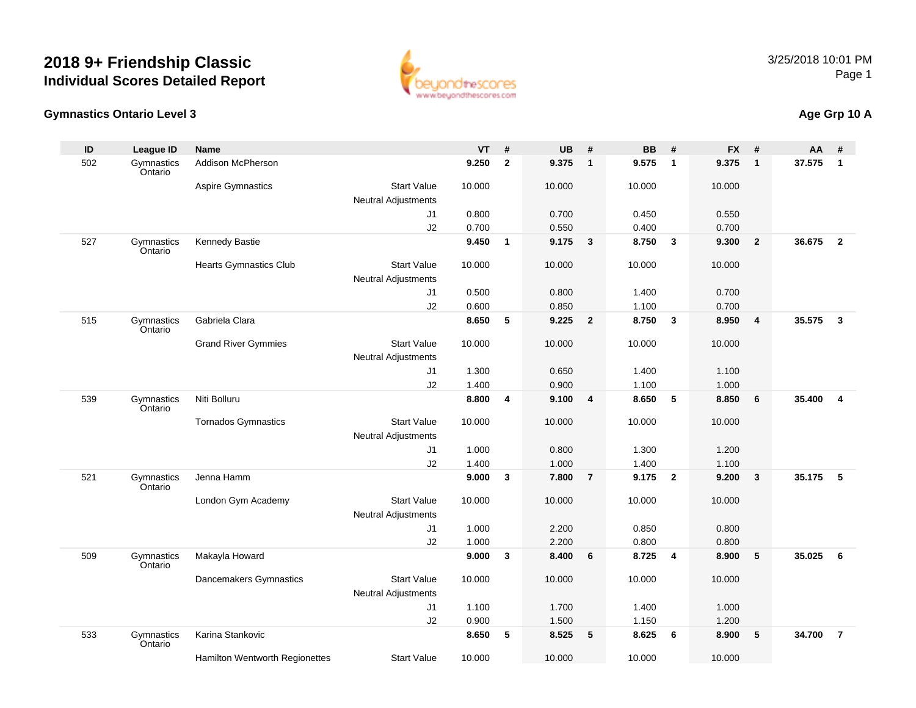

#### **Gymnastics Ontario Level 3**

### **Age Grp 10 A**

| ID  | <b>League ID</b>      | <b>Name</b>                    |                                                  | <b>VT</b> | #            | <b>UB</b> | #                       | <b>BB</b> | #               | <b>FX</b> | #              | AA     | #              |
|-----|-----------------------|--------------------------------|--------------------------------------------------|-----------|--------------|-----------|-------------------------|-----------|-----------------|-----------|----------------|--------|----------------|
| 502 | Gymnastics<br>Ontario | Addison McPherson              |                                                  | 9.250     | $\mathbf{2}$ | 9.375     | $\overline{1}$          | 9.575     | $\mathbf{1}$    | 9.375     | $\mathbf{1}$   | 37.575 | $\mathbf{1}$   |
|     |                       | Aspire Gymnastics              | <b>Start Value</b><br><b>Neutral Adjustments</b> | 10.000    |              | 10.000    |                         | 10.000    |                 | 10.000    |                |        |                |
|     |                       |                                | J1                                               | 0.800     |              | 0.700     |                         | 0.450     |                 | 0.550     |                |        |                |
|     |                       |                                | J2                                               | 0.700     |              | 0.550     |                         | 0.400     |                 | 0.700     |                |        |                |
| 527 | Gymnastics            | Kennedy Bastie                 |                                                  | 9.450     | $\mathbf{1}$ | 9.175     | $\overline{\mathbf{3}}$ | 8.750     | $\mathbf{3}$    | 9.300     | $\overline{2}$ | 36.675 | $\overline{2}$ |
|     | Ontario               |                                |                                                  |           |              |           |                         |           |                 |           |                |        |                |
|     |                       | <b>Hearts Gymnastics Club</b>  | <b>Start Value</b>                               | 10.000    |              | 10.000    |                         | 10.000    |                 | 10.000    |                |        |                |
|     |                       |                                | <b>Neutral Adjustments</b>                       |           |              |           |                         |           |                 |           |                |        |                |
|     |                       |                                | J1                                               | 0.500     |              | 0.800     |                         | 1.400     |                 | 0.700     |                |        |                |
|     |                       |                                | J2                                               | 0.600     |              | 0.850     |                         | 1.100     |                 | 0.700     |                |        |                |
| 515 | Gymnastics<br>Ontario | Gabriela Clara                 |                                                  | 8.650     | 5            | 9.225     | $\overline{\mathbf{2}}$ | 8.750     | $\mathbf{3}$    | 8.950     | $\overline{4}$ | 35.575 | $\mathbf{3}$   |
|     |                       | <b>Grand River Gymmies</b>     | <b>Start Value</b>                               | 10.000    |              | 10.000    |                         | 10.000    |                 | 10.000    |                |        |                |
|     |                       |                                | <b>Neutral Adjustments</b>                       |           |              |           |                         |           |                 |           |                |        |                |
|     |                       |                                | J <sub>1</sub>                                   | 1.300     |              | 0.650     |                         | 1.400     |                 | 1.100     |                |        |                |
|     |                       |                                | J2                                               | 1.400     |              | 0.900     |                         | 1.100     |                 | 1.000     |                |        |                |
| 539 | Gymnastics<br>Ontario | Niti Bolluru                   |                                                  | 8.800     | 4            | 9.100     | $\overline{4}$          | 8.650     | $5\phantom{.0}$ | 8.850     | 6              | 35.400 | 4              |
|     |                       | <b>Tornados Gymnastics</b>     | <b>Start Value</b>                               | 10.000    |              | 10.000    |                         | 10.000    |                 | 10.000    |                |        |                |
|     |                       |                                | Neutral Adjustments                              |           |              |           |                         |           |                 |           |                |        |                |
|     |                       |                                | J <sub>1</sub>                                   | 1.000     |              | 0.800     |                         | 1.300     |                 | 1.200     |                |        |                |
|     |                       |                                | J2                                               | 1.400     |              | 1.000     |                         | 1.400     |                 | 1.100     |                |        |                |
| 521 | Gymnastics<br>Ontario | Jenna Hamm                     |                                                  | 9.000     | 3            | 7.800     | $\overline{7}$          | 9.175     | $\overline{2}$  | 9.200     | $\mathbf{3}$   | 35.175 | 5              |
|     |                       | London Gym Academy             | <b>Start Value</b>                               | 10.000    |              | 10.000    |                         | 10.000    |                 | 10.000    |                |        |                |
|     |                       |                                | <b>Neutral Adjustments</b>                       |           |              |           |                         |           |                 |           |                |        |                |
|     |                       |                                | J <sub>1</sub>                                   | 1.000     |              | 2.200     |                         | 0.850     |                 | 0.800     |                |        |                |
|     |                       |                                | J2                                               | 1.000     |              | 2.200     |                         | 0.800     |                 | 0.800     |                |        |                |
| 509 | Gymnastics<br>Ontario | Makayla Howard                 |                                                  | 9.000     | 3            | 8.400     | 6                       | 8.725     | $\overline{4}$  | 8.900     | 5              | 35.025 | 6              |
|     |                       | Dancemakers Gymnastics         | <b>Start Value</b>                               | 10.000    |              | 10.000    |                         | 10.000    |                 | 10.000    |                |        |                |
|     |                       |                                | <b>Neutral Adjustments</b>                       |           |              |           |                         |           |                 |           |                |        |                |
|     |                       |                                | J <sub>1</sub>                                   | 1.100     |              | 1.700     |                         | 1.400     |                 | 1.000     |                |        |                |
|     |                       |                                | J2                                               | 0.900     |              | 1.500     |                         | 1.150     |                 | 1.200     |                |        |                |
| 533 | Gymnastics<br>Ontario | Karina Stankovic               |                                                  | 8.650     | 5            | 8.525     | 5                       | 8.625     | 6               | 8.900     | 5              | 34.700 | $\overline{7}$ |
|     |                       | Hamilton Wentworth Regionettes | <b>Start Value</b>                               | 10.000    |              | 10.000    |                         | 10.000    |                 | 10.000    |                |        |                |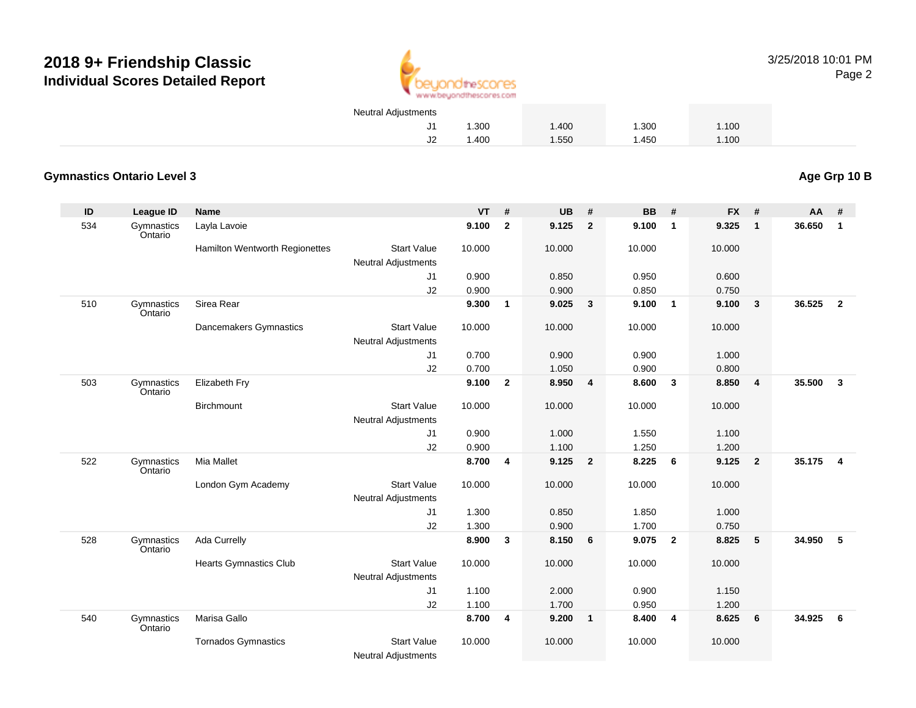

3/25/2018 10:01 PMPage 2

| Neutral Adjustments |       |       |       |       |  |
|---------------------|-------|-------|-------|-------|--|
|                     | 1.300 | 1.400 | 1.300 | 1.100 |  |
|                     | 0.400 | 1.550 | 1.450 | 1.100 |  |

#### **Gymnastics Ontario Level 3**

**ID League ID Name VT # UB # BB # FX # AA #** 534 Gymnastics OntarioLayla Lavoie **9.100 <sup>2</sup> 9.125 <sup>2</sup> 9.100 <sup>1</sup> 9.325 <sup>1</sup> 36.650 <sup>1</sup>** Hamilton Wentworth Regionettes Start Valuee 10.000 10.000 10.000 10.000 Neutral Adjustments J1 0.900 0.850 0.950 0.600 J2 0.900 0.900 0.850 0.750 510 Gymnastics OntarioSirea Rear **9.300 <sup>1</sup> 9.025 <sup>3</sup> 9.100 <sup>1</sup> 9.100 <sup>3</sup> 36.525 <sup>2</sup>** Dancemakers Gymnastics Start Valuee 10.000 10.000 10.000 10.000 Neutral Adjustments J1 0.700 0.900 0.900 1.000 J2 0.700 1.050 0.900 0.800 503 Gymnastics OntarioElizabeth Fry **9.100 <sup>2</sup> 8.950 <sup>4</sup> 8.600 <sup>3</sup> 8.850 <sup>4</sup> 35.500 <sup>3</sup> Birchmount**  Start Valuee 10.000 10.000 10.000 10.000 Neutral Adjustments J1 0.900 1.000 1.550 1.100 J2 0.900 1.100 1.250 1.200 522 Gymnastics OntarioMia Mallet **8.700 <sup>4</sup> 9.125 <sup>2</sup> 8.225 <sup>6</sup> 9.125 <sup>2</sup> 35.175 <sup>4</sup>** London Gym Academy Start Valuee 10.000 10.000 10.000 10.000 Neutral Adjustments J1 1.300 0.850 1.850 1.000 J2 1.300 0.900 1.700 0.750 528 Gymnastics OntarioAda Currelly **8.900 <sup>3</sup> 8.150 <sup>6</sup> 9.075 <sup>2</sup> 8.825 <sup>5</sup> 34.950 <sup>5</sup>** Hearts Gymnastics Club Start Value 10.000 10.000 10.000 10.000 Neutral Adjustments J1 1.100 2.000 0.900 1.150 J2 1.100 1.700 0.950 1.200 540**Gymnastics** OntarioMarisa Gallo **8.700 <sup>4</sup> 9.200 <sup>1</sup> 8.400 <sup>4</sup> 8.625 <sup>6</sup> 34.925 <sup>6</sup>** Tornados Gymnastics Start Valuee 10.000 10.000 10.000 10.000

Neutral Adjustments

**Age Grp 10 B**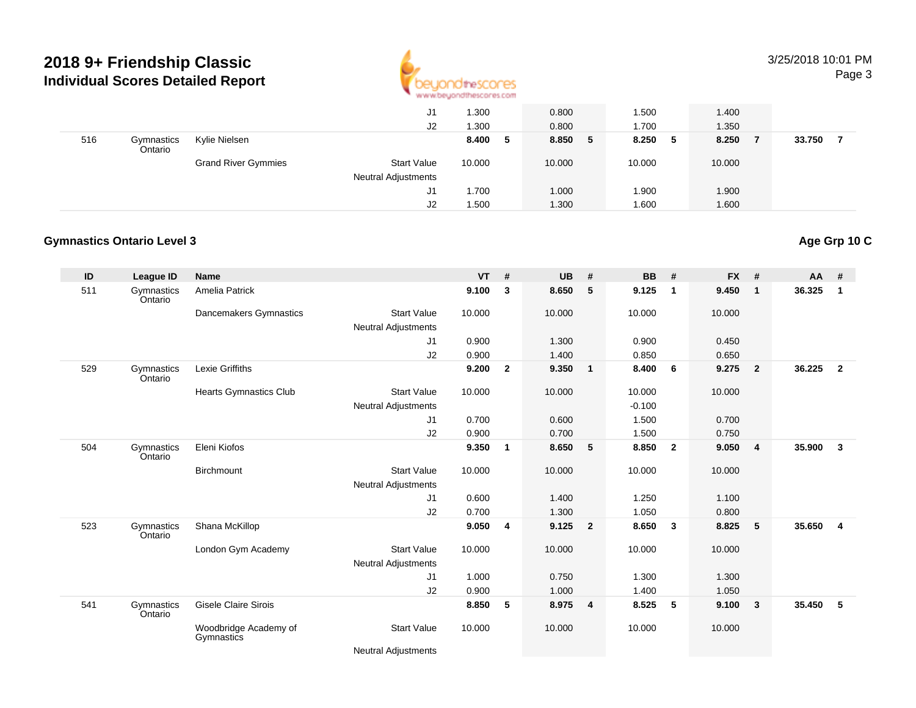

#### 3/25/2018 10:01 PMPage 3

|     |                       |                            | J1<br>J2                                         | 1.300<br>1.300 | 0.800<br>0.800 | 1.500<br>1.700 | 1.400<br>1.350 |        |
|-----|-----------------------|----------------------------|--------------------------------------------------|----------------|----------------|----------------|----------------|--------|
| 516 | Gymnastics<br>Ontario | Kylie Nielsen              |                                                  | 8.400<br>5     | 8.850<br>5     | 8.250 5        | 8.250          | 33.750 |
|     |                       | <b>Grand River Gymmies</b> | <b>Start Value</b><br><b>Neutral Adjustments</b> | 10.000         | 10.000         | 10.000         | 10.000         |        |
|     |                       |                            | J1                                               | 1.700          | 1.000          | 1.900          | 1.900          |        |
|     |                       |                            | J2                                               | 1.500          | 1.300          | 1.600          | 1.600          |        |

#### **Gymnastics Ontario Level 3**

#### **ID League ID Name VT # UB # BB # FX # AA #** 511 Gymnastics OntarioAmelia Patrick **9.100 <sup>3</sup> 8.650 <sup>5</sup> 9.125 <sup>1</sup> 9.450 <sup>1</sup> 36.325 <sup>1</sup>** Dancemakers Gymnastics Start Valuee 10.000 10.000 10.000 10.000 Neutral Adjustments J1 0.900 1.300 0.900 0.450 J2 0.900 1.400 0.850 0.650 529 Gymnastics OntarioLexie Griffiths **9.200 <sup>2</sup> 9.350 <sup>1</sup> 8.400 <sup>6</sup> 9.275 <sup>2</sup> 36.225 <sup>2</sup>** Hearts Gymnastics Club Start Value 10.000 10.000 10.000 10.000 Neutral Adjustments $-0.100$ 1.500 J1 0.700 0.600 1.500 0.700 J2 0.900 0.700 1.500 0.750 504**Gymnastics** OntarioEleni Kiofos**9.350 <sup>1</sup> 8.650 <sup>5</sup> 8.850 <sup>2</sup> 9.050 <sup>4</sup> 35.900 <sup>3</sup> Birchmount**  Start Valuee 10.000 10.000 10.000 10.000 Neutral Adjustments J1 0.600 1.400 1.250 1.100 J2 0.700 1.300 1.050 0.800 523 Gymnastics OntarioShana McKillop **9.050 <sup>4</sup> 9.125 <sup>2</sup> 8.650 <sup>3</sup> 8.825 <sup>5</sup> 35.650 <sup>4</sup>** London Gym Academy Start Valuee 10.000 10.000 10.000 10.000 Neutral Adjustments J1 1.000 0.750 1.300 1.300 J2 0.900 1.000 1.400 1.050 541 Gymnastics OntarioGisele Claire Sirois**8.850 <sup>5</sup> 8.975 <sup>4</sup> 8.525 <sup>5</sup> 9.100 <sup>3</sup> 35.450 <sup>5</sup>** Woodbridge Academy of**Gymnastics** Start Valuee 10.000 10.000 10.000 10.000

Neutral Adjustments

### **Age Grp 10 C**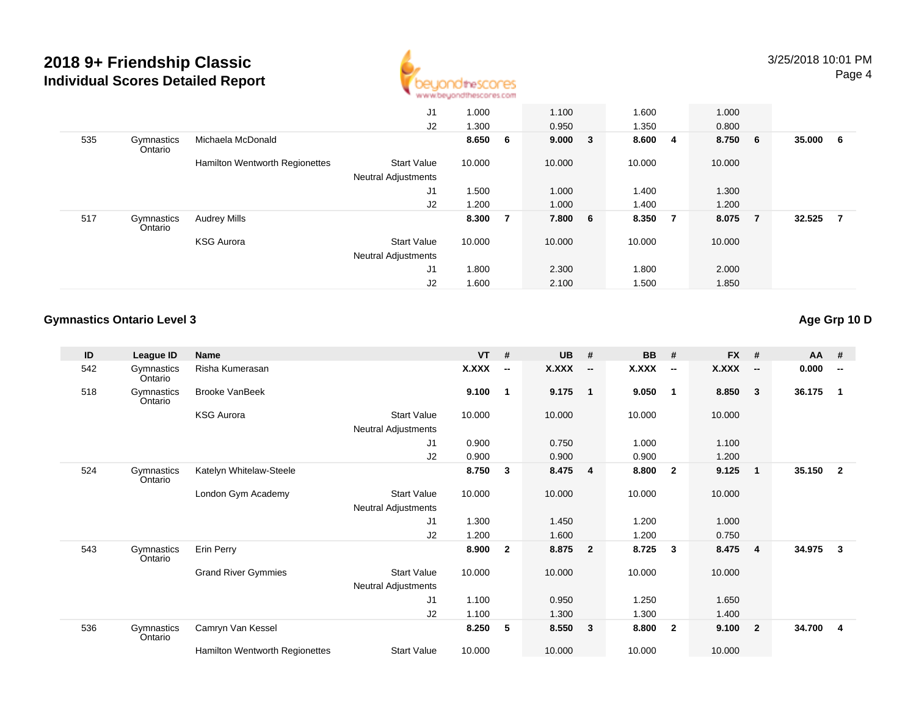

|     |                       |                                | J <sub>1</sub>             | 1.000  |                | 1.100   | 1.600  |                         | 1.000  |                |        |    |
|-----|-----------------------|--------------------------------|----------------------------|--------|----------------|---------|--------|-------------------------|--------|----------------|--------|----|
|     |                       |                                | J2                         | 1.300  |                | 0.950   | 1.350  |                         | 0.800  |                |        |    |
| 535 | Gymnastics<br>Ontario | Michaela McDonald              |                            | 8.650  | - 6            | 9.000 3 | 8.600  | $\overline{\mathbf{4}}$ | 8.750  | - 6            | 35.000 | -6 |
|     |                       | Hamilton Wentworth Regionettes | <b>Start Value</b>         | 10.000 |                | 10.000  | 10.000 |                         | 10.000 |                |        |    |
|     |                       |                                | <b>Neutral Adjustments</b> |        |                |         |        |                         |        |                |        |    |
|     |                       |                                | J <sub>1</sub>             | 1.500  |                | 1.000   | 1.400  |                         | 1.300  |                |        |    |
|     |                       |                                | J2                         | 1.200  |                | 1.000   | 1.400  |                         | 1.200  |                |        |    |
| 517 | Gymnastics<br>Ontario | <b>Audrey Mills</b>            |                            | 8.300  | $\overline{7}$ | 7.800 6 | 8.350  | $\overline{7}$          | 8.075  | $\overline{7}$ | 32.525 | 7  |
|     |                       | <b>KSG Aurora</b>              | <b>Start Value</b>         | 10.000 |                | 10.000  | 10.000 |                         | 10.000 |                |        |    |
|     |                       |                                | <b>Neutral Adjustments</b> |        |                |         |        |                         |        |                |        |    |
|     |                       |                                | J1                         | 1.800  |                | 2.300   | 1.800  |                         | 2.000  |                |        |    |
|     |                       |                                | J2                         | 1.600  |                | 2.100   | 1.500  |                         | 1.850  |                |        |    |

#### **Gymnastics Ontario Level 3Age Grp 10 D**

| ID  | League ID             | <b>Name</b>                    |                            | $VT$ #       |                          | <b>UB</b> | #                        | <b>BB</b>    | #                        | <b>FX</b> | #                        | AA     | #                        |
|-----|-----------------------|--------------------------------|----------------------------|--------------|--------------------------|-----------|--------------------------|--------------|--------------------------|-----------|--------------------------|--------|--------------------------|
| 542 | Gymnastics<br>Ontario | Risha Kumerasan                |                            | <b>X.XXX</b> | $\overline{\phantom{a}}$ | X.XXX     | $\overline{\phantom{a}}$ | <b>X.XXX</b> | $\overline{\phantom{a}}$ | X.XXX     | $\overline{\phantom{a}}$ | 0.000  | $\overline{\phantom{a}}$ |
| 518 | Gymnastics<br>Ontario | <b>Brooke VanBeek</b>          |                            | 9.100        | $\mathbf 1$              | 9.175     | $\overline{\phantom{0}}$ | 9.050        | $\overline{1}$           | 8.850     | $\mathbf{3}$             | 36.175 | $\overline{1}$           |
|     |                       | <b>KSG Aurora</b>              | <b>Start Value</b>         | 10.000       |                          | 10.000    |                          | 10.000       |                          | 10.000    |                          |        |                          |
|     |                       |                                | <b>Neutral Adjustments</b> |              |                          |           |                          |              |                          |           |                          |        |                          |
|     |                       |                                | J1                         | 0.900        |                          | 0.750     |                          | 1.000        |                          | 1.100     |                          |        |                          |
|     |                       |                                | J2                         | 0.900        |                          | 0.900     |                          | 0.900        |                          | 1.200     |                          |        |                          |
| 524 | Gymnastics<br>Ontario | Katelyn Whitelaw-Steele        |                            | 8.750        | 3                        | 8.475     | $\overline{4}$           | 8.800        | $\overline{\mathbf{2}}$  | 9.125     | $\overline{1}$           | 35.150 | $\overline{\mathbf{2}}$  |
|     |                       | London Gym Academy             | <b>Start Value</b>         | 10.000       |                          | 10.000    |                          | 10.000       |                          | 10.000    |                          |        |                          |
|     |                       |                                | <b>Neutral Adjustments</b> |              |                          |           |                          |              |                          |           |                          |        |                          |
|     |                       |                                | J1                         | 1.300        |                          | 1.450     |                          | 1.200        |                          | 1.000     |                          |        |                          |
|     |                       |                                | J2                         | 1.200        |                          | 1.600     |                          | 1.200        |                          | 0.750     |                          |        |                          |
| 543 | Gymnastics<br>Ontario | Erin Perry                     |                            | 8.900        | $\mathbf{2}$             | 8.875     | $\overline{2}$           | 8.725        | $\mathbf{3}$             | 8.475     | $\overline{4}$           | 34.975 | 3                        |
|     |                       | <b>Grand River Gymmies</b>     | <b>Start Value</b>         | 10.000       |                          | 10.000    |                          | 10.000       |                          | 10.000    |                          |        |                          |
|     |                       |                                | <b>Neutral Adjustments</b> |              |                          |           |                          |              |                          |           |                          |        |                          |
|     |                       |                                | J <sub>1</sub>             | 1.100        |                          | 0.950     |                          | 1.250        |                          | 1.650     |                          |        |                          |
|     |                       |                                | J2                         | 1.100        |                          | 1.300     |                          | 1.300        |                          | 1.400     |                          |        |                          |
| 536 | Gymnastics<br>Ontario | Camryn Van Kessel              |                            | 8.250        | 5                        | 8.550     | $\mathbf{3}$             | 8.800        | $\overline{\mathbf{2}}$  | 9.100     | $\overline{\mathbf{2}}$  | 34.700 | -4                       |
|     |                       | Hamilton Wentworth Regionettes | <b>Start Value</b>         | 10.000       |                          | 10.000    |                          | 10.000       |                          | 10.000    |                          |        |                          |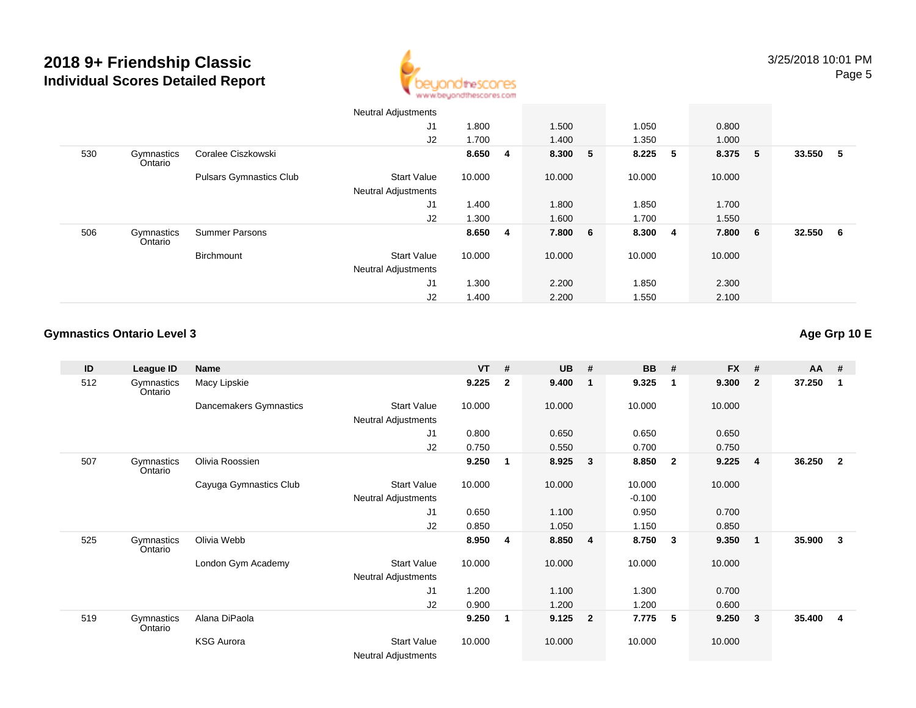

|     |                       |                                | <b>Neutral Adjustments</b> |         |         |         |   |         |   |        |     |
|-----|-----------------------|--------------------------------|----------------------------|---------|---------|---------|---|---------|---|--------|-----|
|     |                       |                                | J1                         | 1.800   | 1.500   | 1.050   |   | 0.800   |   |        |     |
|     |                       |                                | J2                         | 1.700   | 1.400   | 1.350   |   | 1.000   |   |        |     |
| 530 | Gymnastics<br>Ontario | Coralee Ciszkowski             |                            | 8.650 4 | 8.300 5 | 8.225   | 5 | 8.375 5 |   | 33.550 | - 5 |
|     |                       | <b>Pulsars Gymnastics Club</b> | <b>Start Value</b>         | 10.000  | 10.000  | 10.000  |   | 10.000  |   |        |     |
|     |                       |                                | <b>Neutral Adjustments</b> |         |         |         |   |         |   |        |     |
|     |                       |                                | J1                         | 1.400   | 1.800   | 1.850   |   | 1.700   |   |        |     |
|     |                       |                                | J2                         | 1.300   | 1.600   | 1.700   |   | 1.550   |   |        |     |
| 506 | Gymnastics<br>Ontario | <b>Summer Parsons</b>          |                            | 8.650 4 | 7.800 6 | 8.300 4 |   | 7.800   | 6 | 32.550 | - 6 |
|     |                       | Birchmount                     | <b>Start Value</b>         | 10.000  | 10.000  | 10.000  |   | 10.000  |   |        |     |
|     |                       |                                | <b>Neutral Adjustments</b> |         |         |         |   |         |   |        |     |
|     |                       |                                | J1                         | 1.300   | 2.200   | 1.850   |   | 2.300   |   |        |     |
|     |                       |                                | J2                         | 1.400   | 2.200   | 1.550   |   | 2.100   |   |        |     |

#### **Gymnastics Ontario Level 3Age Grp 10 E**

| ID  | League ID             | Name                   |                                                  | <b>VT</b> | #              | <b>UB</b> | #                       | <b>BB</b> | #                       | $FX$ # |                         | <b>AA</b> | #                       |
|-----|-----------------------|------------------------|--------------------------------------------------|-----------|----------------|-----------|-------------------------|-----------|-------------------------|--------|-------------------------|-----------|-------------------------|
| 512 | Gymnastics<br>Ontario | Macy Lipskie           |                                                  | 9.225     | $\overline{2}$ | 9.400     | 1                       | 9.325     | -1                      | 9.300  | $\overline{\mathbf{2}}$ | 37.250    | $\overline{1}$          |
|     |                       | Dancemakers Gymnastics | <b>Start Value</b><br>Neutral Adjustments        | 10.000    |                | 10.000    |                         | 10.000    |                         | 10.000 |                         |           |                         |
|     |                       |                        | J1                                               | 0.800     |                | 0.650     |                         | 0.650     |                         | 0.650  |                         |           |                         |
|     |                       |                        | J2                                               | 0.750     |                | 0.550     |                         | 0.700     |                         | 0.750  |                         |           |                         |
| 507 | Gymnastics<br>Ontario | Olivia Roossien        |                                                  | 9.250     | 1              | 8.925     | $\mathbf{3}$            | 8.850     | $\overline{\mathbf{2}}$ | 9.225  | $\overline{4}$          | 36.250    | $\overline{2}$          |
|     |                       | Cayuga Gymnastics Club | <b>Start Value</b>                               | 10.000    |                | 10.000    |                         | 10.000    |                         | 10.000 |                         |           |                         |
|     |                       |                        | Neutral Adjustments                              |           |                |           |                         | $-0.100$  |                         |        |                         |           |                         |
|     |                       |                        | J1                                               | 0.650     |                | 1.100     |                         | 0.950     |                         | 0.700  |                         |           |                         |
|     |                       |                        | J2                                               | 0.850     |                | 1.050     |                         | 1.150     |                         | 0.850  |                         |           |                         |
| 525 | Gymnastics<br>Ontario | Olivia Webb            |                                                  | 8.950     | 4              | 8.850     | $\overline{\mathbf{4}}$ | 8.750     | 3                       | 9.350  | $\overline{\mathbf{1}}$ | 35.900    | $\overline{\mathbf{3}}$ |
|     |                       | London Gym Academy     | <b>Start Value</b>                               | 10.000    |                | 10.000    |                         | 10.000    |                         | 10.000 |                         |           |                         |
|     |                       |                        | Neutral Adjustments                              |           |                |           |                         |           |                         |        |                         |           |                         |
|     |                       |                        | J1                                               | 1.200     |                | 1.100     |                         | 1.300     |                         | 0.700  |                         |           |                         |
|     |                       |                        | J2                                               | 0.900     |                | 1.200     |                         | 1.200     |                         | 0.600  |                         |           |                         |
| 519 | Gymnastics<br>Ontario | Alana DiPaola          |                                                  | 9.250     | 1              | 9.125     | $\overline{2}$          | 7.775     | 5                       | 9.250  | $\overline{\mathbf{3}}$ | 35.400    | $\overline{\mathbf{4}}$ |
|     |                       | <b>KSG Aurora</b>      | <b>Start Value</b><br><b>Neutral Adjustments</b> | 10.000    |                | 10.000    |                         | 10.000    |                         | 10.000 |                         |           |                         |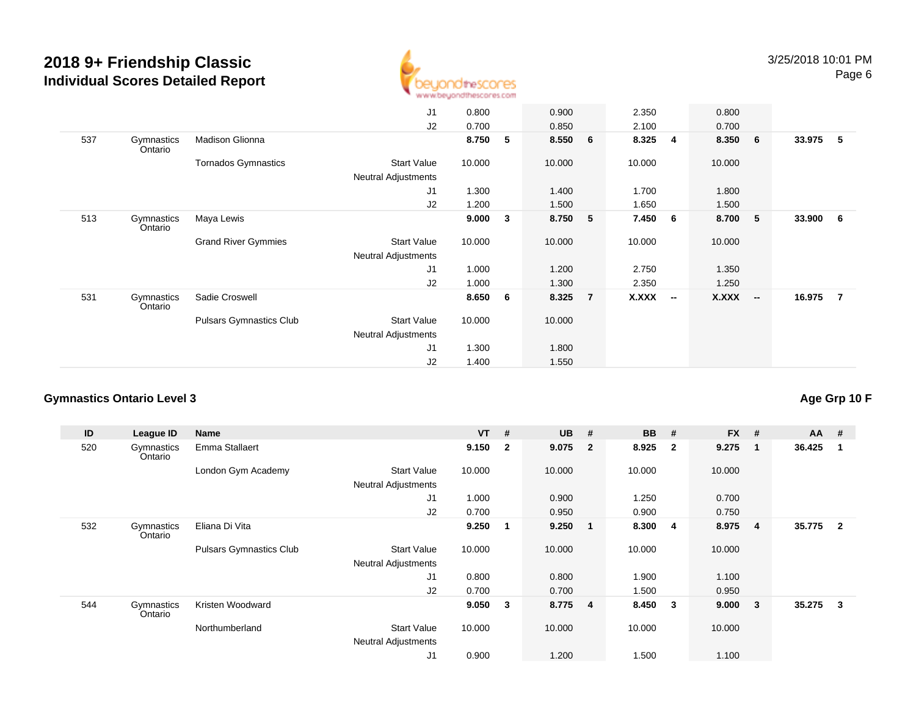

|     |                       |                                | J <sub>1</sub>             | 0.800  |   | 0.900  |   | 2.350  |                          | 0.800        |                          |          |                |
|-----|-----------------------|--------------------------------|----------------------------|--------|---|--------|---|--------|--------------------------|--------------|--------------------------|----------|----------------|
|     |                       |                                | J2                         | 0.700  |   | 0.850  |   | 2.100  |                          | 0.700        |                          |          |                |
| 537 | Gymnastics<br>Ontario | Madison Glionna                |                            | 8.750  | 5 | 8.550  | 6 | 8.325  | $\overline{4}$           | 8.350        | 6                        | 33.975   | 5              |
|     |                       | <b>Tornados Gymnastics</b>     | Start Value                | 10.000 |   | 10.000 |   | 10.000 |                          | 10.000       |                          |          |                |
|     |                       |                                | <b>Neutral Adjustments</b> |        |   |        |   |        |                          |              |                          |          |                |
|     |                       |                                | J <sub>1</sub>             | 1.300  |   | 1.400  |   | 1.700  |                          | 1.800        |                          |          |                |
|     |                       |                                | J2                         | 1.200  |   | 1.500  |   | 1.650  |                          | 1.500        |                          |          |                |
| 513 | Gymnastics<br>Ontario | Maya Lewis                     |                            | 9.000  | 3 | 8.750  | 5 | 7.450  | 6                        | 8.700        | 5                        | 33.900 6 |                |
|     |                       | <b>Grand River Gymmies</b>     | <b>Start Value</b>         | 10.000 |   | 10.000 |   | 10.000 |                          | 10.000       |                          |          |                |
|     |                       |                                | <b>Neutral Adjustments</b> |        |   |        |   |        |                          |              |                          |          |                |
|     |                       |                                | J <sub>1</sub>             | 1.000  |   | 1.200  |   | 2.750  |                          | 1.350        |                          |          |                |
|     |                       |                                | J2                         | 1.000  |   | 1.300  |   | 2.350  |                          | 1.250        |                          |          |                |
| 531 | Gymnastics<br>Ontario | Sadie Croswell                 |                            | 8.650  | 6 | 8.325  | 7 | X.XXX  | $\overline{\phantom{a}}$ | <b>X.XXX</b> | $\overline{\phantom{a}}$ | 16.975   | $\overline{7}$ |
|     |                       | <b>Pulsars Gymnastics Club</b> | <b>Start Value</b>         | 10.000 |   | 10.000 |   |        |                          |              |                          |          |                |
|     |                       |                                | <b>Neutral Adjustments</b> |        |   |        |   |        |                          |              |                          |          |                |
|     |                       |                                | J <sub>1</sub>             | 1.300  |   | 1.800  |   |        |                          |              |                          |          |                |
|     |                       |                                | J <sub>2</sub>             | 1.400  |   | 1.550  |   |        |                          |              |                          |          |                |
|     |                       |                                |                            |        |   |        |   |        |                          |              |                          |          |                |

#### **Gymnastics Ontario Level 3**

**ID League ID Name VT # UB # BB # FX # AA #** 520**Gymnastics** OntarioEmma Stallaert **9.150 <sup>2</sup> 9.075 <sup>2</sup> 8.925 <sup>2</sup> 9.275 <sup>1</sup> 36.425 <sup>1</sup>** London Gym Academy Start Valuee 10.000 10.000 10.000 10.000 Neutral Adjustments J1 1.000 0.900 1.250 0.700 J2 0.700 0.950 0.900 0.750 532 Gymnastics OntarioEliana Di Vita **9.250 <sup>1</sup> 9.250 <sup>1</sup> 8.300 <sup>4</sup> 8.975 <sup>4</sup> 35.775 <sup>2</sup>** Pulsars Gymnastics Club Start Value 10.000 10.000 10.000 10.000 Neutral Adjustments J1 0.800 0.800 1.900 1.100 J2 0.700 0.700 1.500 0.950 544**Gymnastics** OntarioKristen Woodward **9.050 <sup>3</sup> 8.775 <sup>4</sup> 8.450 <sup>3</sup> 9.000 <sup>3</sup> 35.275 <sup>3</sup>** Northumberland Start Value 10.000 10.000 10.000 10.000 Neutral Adjustments J10.900 1.200 1.500 1.100

**Age Grp 10 F**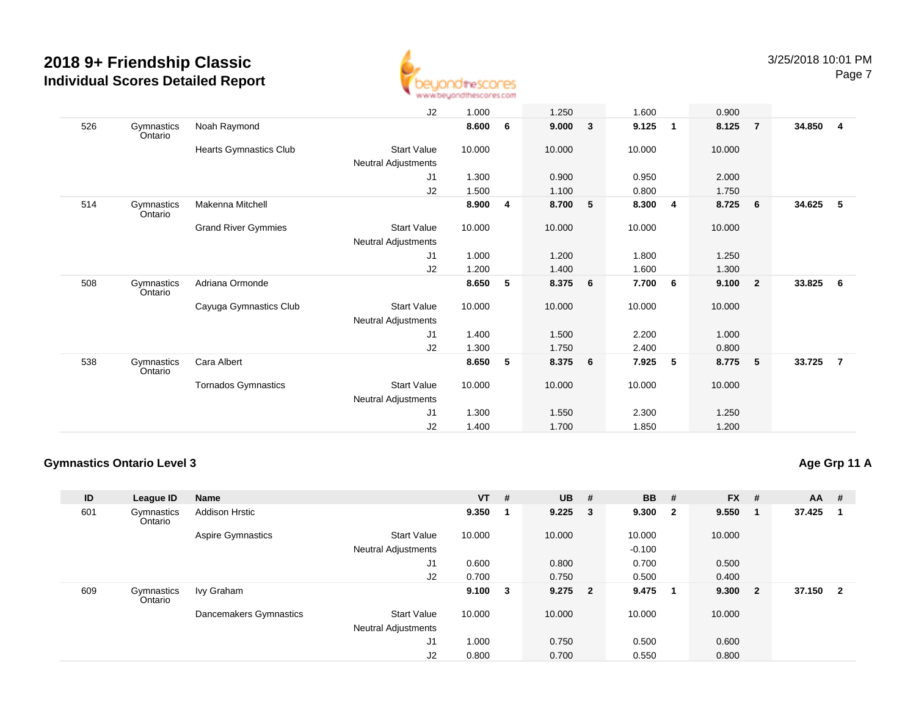

|     |                       |                            | J2                  | 1.000  |   | 1.250  |   | 1.600  |   | 0.900  |                         |        |                |
|-----|-----------------------|----------------------------|---------------------|--------|---|--------|---|--------|---|--------|-------------------------|--------|----------------|
| 526 | Gymnastics<br>Ontario | Noah Raymond               |                     | 8.600  | 6 | 9.000  | 3 | 9.125  | 1 | 8.125  | $\overline{7}$          | 34.850 | $\overline{4}$ |
|     |                       | Hearts Gymnastics Club     | <b>Start Value</b>  | 10.000 |   | 10.000 |   | 10.000 |   | 10.000 |                         |        |                |
|     |                       |                            | Neutral Adjustments |        |   |        |   |        |   |        |                         |        |                |
|     |                       |                            | J1                  | 1.300  |   | 0.900  |   | 0.950  |   | 2.000  |                         |        |                |
|     |                       |                            | J2                  | 1.500  |   | 1.100  |   | 0.800  |   | 1.750  |                         |        |                |
| 514 | Gymnastics<br>Ontario | Makenna Mitchell           |                     | 8.900  | 4 | 8.700  | 5 | 8.300  | 4 | 8.725  | 6                       | 34.625 | -5             |
|     |                       | <b>Grand River Gymmies</b> | <b>Start Value</b>  | 10.000 |   | 10.000 |   | 10.000 |   | 10.000 |                         |        |                |
|     |                       |                            | Neutral Adjustments |        |   |        |   |        |   |        |                         |        |                |
|     |                       |                            | J1                  | 1.000  |   | 1.200  |   | 1.800  |   | 1.250  |                         |        |                |
|     |                       |                            | J2                  | 1.200  |   | 1.400  |   | 1.600  |   | 1.300  |                         |        |                |
| 508 | Gymnastics<br>Ontario | Adriana Ormonde            |                     | 8.650  | 5 | 8.375  | 6 | 7.700  | 6 | 9.100  | $\overline{\mathbf{2}}$ | 33.825 | 6              |
|     |                       | Cayuga Gymnastics Club     | <b>Start Value</b>  | 10.000 |   | 10.000 |   | 10.000 |   | 10.000 |                         |        |                |
|     |                       |                            | Neutral Adjustments |        |   |        |   |        |   |        |                         |        |                |
|     |                       |                            | J1                  | 1.400  |   | 1.500  |   | 2.200  |   | 1.000  |                         |        |                |
|     |                       |                            | J2                  | 1.300  |   | 1.750  |   | 2.400  |   | 0.800  |                         |        |                |
| 538 | Gymnastics<br>Ontario | Cara Albert                |                     | 8.650  | 5 | 8.375  | 6 | 7.925  | 5 | 8.775  | $-5$                    | 33.725 | $\overline{7}$ |
|     |                       | <b>Tornados Gymnastics</b> | <b>Start Value</b>  | 10.000 |   | 10.000 |   | 10.000 |   | 10.000 |                         |        |                |
|     |                       |                            | Neutral Adjustments |        |   |        |   |        |   |        |                         |        |                |
|     |                       |                            | J1                  | 1.300  |   | 1.550  |   | 2.300  |   | 1.250  |                         |        |                |
|     |                       |                            | J2                  | 1.400  |   | 1.700  |   | 1.850  |   | 1.200  |                         |        |                |

#### **Gymnastics Ontario Level 3**

### **Age Grp 11 A**

| ID  | League ID             | <b>Name</b>              |                            | $VT$ #      |    | $UB$ #      | <b>BB</b> | #                       | $FX$ # |                         | $AA$ # |                |
|-----|-----------------------|--------------------------|----------------------------|-------------|----|-------------|-----------|-------------------------|--------|-------------------------|--------|----------------|
| 601 | Gymnastics<br>Ontario | <b>Addison Hrstic</b>    |                            | 9.350       | -1 | $9.225 \t3$ | 9.300     | $\overline{\mathbf{2}}$ | 9.550  | $\blacksquare$          | 37.425 |                |
|     |                       | <b>Aspire Gymnastics</b> | <b>Start Value</b>         | 10.000      |    | 10.000      | 10.000    |                         | 10.000 |                         |        |                |
|     |                       |                          | <b>Neutral Adjustments</b> |             |    |             | $-0.100$  |                         |        |                         |        |                |
|     |                       |                          | J1                         | 0.600       |    | 0.800       | 0.700     |                         | 0.500  |                         |        |                |
|     |                       |                          | J2                         | 0.700       |    | 0.750       | 0.500     |                         | 0.400  |                         |        |                |
| 609 | Gymnastics<br>Ontario | Ivy Graham               |                            | $9.100 \t3$ |    | $9.275$ 2   | 9.475     | $\blacksquare$          | 9.300  | $\overline{\mathbf{2}}$ | 37.150 | $\overline{2}$ |
|     |                       | Dancemakers Gymnastics   | <b>Start Value</b>         | 10.000      |    | 10.000      | 10.000    |                         | 10.000 |                         |        |                |
|     |                       |                          | <b>Neutral Adjustments</b> |             |    |             |           |                         |        |                         |        |                |
|     |                       |                          | J1                         | 1.000       |    | 0.750       | 0.500     |                         | 0.600  |                         |        |                |
|     |                       |                          | J2                         | 0.800       |    | 0.700       | 0.550     |                         | 0.800  |                         |        |                |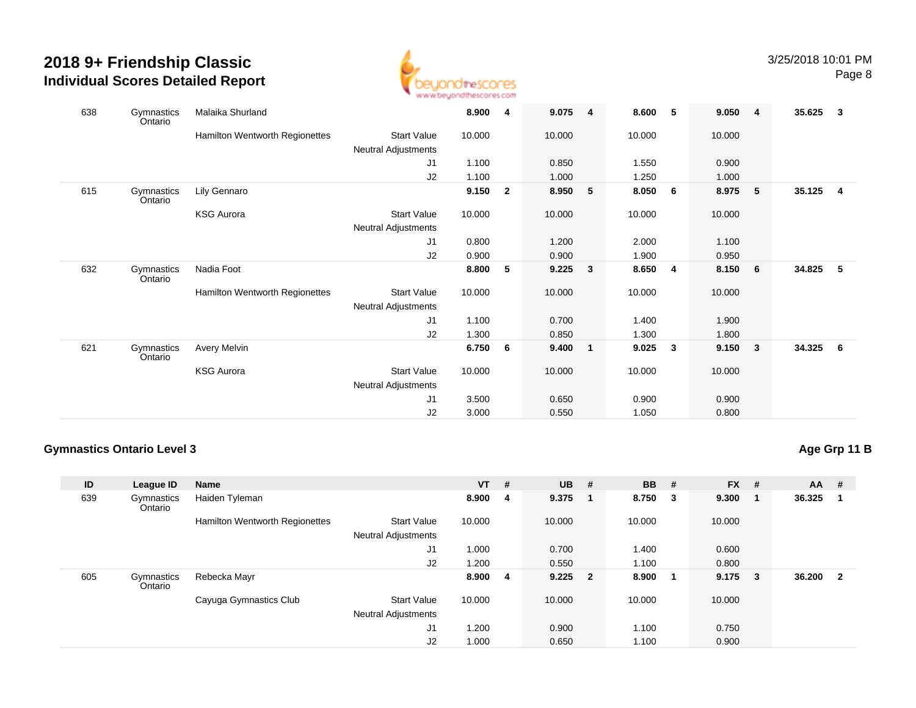

| 638 | Gymnastics<br>Ontario | Malaika Shurland               |                            | 8.900  | 4              | 9.075  | $\overline{4}$ | 8.600  | 5                       | 9.050  | $\overline{4}$          | 35.625 | -3  |
|-----|-----------------------|--------------------------------|----------------------------|--------|----------------|--------|----------------|--------|-------------------------|--------|-------------------------|--------|-----|
|     |                       | Hamilton Wentworth Regionettes | <b>Start Value</b>         | 10.000 |                | 10.000 |                | 10.000 |                         | 10.000 |                         |        |     |
|     |                       |                                | <b>Neutral Adjustments</b> |        |                |        |                |        |                         |        |                         |        |     |
|     |                       |                                | J1                         | 1.100  |                | 0.850  |                | 1.550  |                         | 0.900  |                         |        |     |
|     |                       |                                | J2                         | 1.100  |                | 1.000  |                | 1.250  |                         | 1.000  |                         |        |     |
| 615 | Gymnastics<br>Ontario | Lily Gennaro                   |                            | 9.150  | $\overline{2}$ | 8.950  | 5              | 8.050  | 6                       | 8.975  | 5                       | 35.125 | -4  |
|     |                       | <b>KSG Aurora</b>              | <b>Start Value</b>         | 10.000 |                | 10.000 |                | 10.000 |                         | 10.000 |                         |        |     |
|     |                       |                                | Neutral Adjustments        |        |                |        |                |        |                         |        |                         |        |     |
|     |                       |                                | J <sub>1</sub>             | 0.800  |                | 1.200  |                | 2.000  |                         | 1.100  |                         |        |     |
|     |                       |                                | J2                         | 0.900  |                | 0.900  |                | 1.900  |                         | 0.950  |                         |        |     |
| 632 | Gymnastics<br>Ontario | Nadia Foot                     |                            | 8.800  | 5              | 9.225  | 3              | 8.650  | $\overline{\mathbf{4}}$ | 8.150  | $6\phantom{.0}6$        | 34.825 | 5   |
|     |                       | Hamilton Wentworth Regionettes | <b>Start Value</b>         | 10.000 |                | 10.000 |                | 10.000 |                         | 10.000 |                         |        |     |
|     |                       |                                | Neutral Adjustments        |        |                |        |                |        |                         |        |                         |        |     |
|     |                       |                                | J1                         | 1.100  |                | 0.700  |                | 1.400  |                         | 1.900  |                         |        |     |
|     |                       |                                | J2                         | 1.300  |                | 0.850  |                | 1.300  |                         | 1.800  |                         |        |     |
| 621 | Gymnastics<br>Ontario | Avery Melvin                   |                            | 6.750  | 6              | 9.400  | $\overline{1}$ | 9.025  | $\mathbf{3}$            | 9.150  | $\overline{\mathbf{3}}$ | 34.325 | - 6 |
|     |                       | <b>KSG Aurora</b>              | <b>Start Value</b>         | 10.000 |                | 10.000 |                | 10.000 |                         | 10.000 |                         |        |     |
|     |                       |                                | Neutral Adjustments        |        |                |        |                |        |                         |        |                         |        |     |
|     |                       |                                | J1                         | 3.500  |                | 0.650  |                | 0.900  |                         | 0.900  |                         |        |     |
|     |                       |                                | J2                         | 3.000  |                | 0.550  |                | 1.050  |                         | 0.800  |                         |        |     |

#### **Gymnastics Ontario Level 3**

## **Age Grp 11 B**

| ID  | League ID             | <b>Name</b>                    |                                                  | <b>VT</b> | #  | $UB$ #    |     | <b>BB</b> | #                       | $FX$ #          |     | <b>AA</b> | #                       |
|-----|-----------------------|--------------------------------|--------------------------------------------------|-----------|----|-----------|-----|-----------|-------------------------|-----------------|-----|-----------|-------------------------|
| 639 | Gymnastics<br>Ontario | Haiden Tyleman                 |                                                  | 8.900     | 4  | 9.375     | - 1 | 8.750     | $\overline{\mathbf{3}}$ | 9.300           | - 1 | 36.325    | -1                      |
|     |                       | Hamilton Wentworth Regionettes | <b>Start Value</b><br><b>Neutral Adjustments</b> | 10.000    |    | 10.000    |     | 10.000    |                         | 10.000          |     |           |                         |
|     |                       |                                | J1                                               | 1.000     |    | 0.700     |     | 1.400     |                         | 0.600           |     |           |                         |
|     |                       |                                | J2                                               | 1.200     |    | 0.550     |     | 1.100     |                         | 0.800           |     |           |                         |
| 605 | Gymnastics<br>Ontario | Rebecka Mayr                   |                                                  | 8.900     | -4 | $9.225$ 2 |     | 8.900     |                         | $9.175 \quad 3$ |     | 36.200    | $\overline{\mathbf{2}}$ |
|     |                       | Cayuga Gymnastics Club         | <b>Start Value</b><br><b>Neutral Adjustments</b> | 10.000    |    | 10.000    |     | 10.000    |                         | 10.000          |     |           |                         |
|     |                       |                                | J1                                               | 1.200     |    | 0.900     |     | 1.100     |                         | 0.750           |     |           |                         |
|     |                       |                                | J2                                               | 1.000     |    | 0.650     |     | 1.100     |                         | 0.900           |     |           |                         |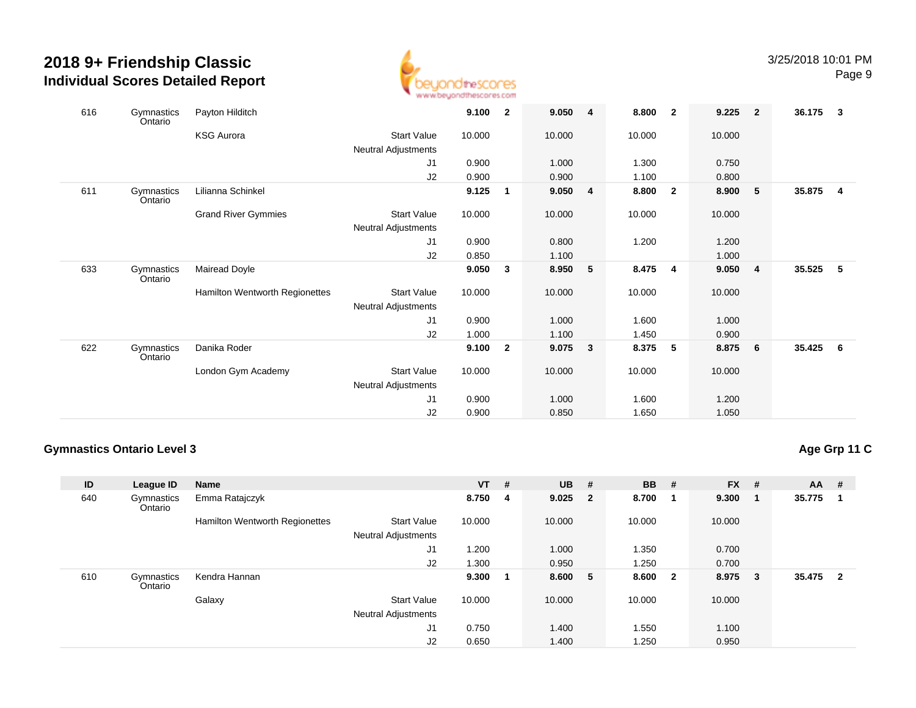

| 616 | Gymnastics<br>Ontario | Payton Hilditch                       |                            | 9.100  | $\overline{\mathbf{2}}$ | 9.050 4 |                | 8.800  | $\overline{\mathbf{2}}$ | 9.225  | $\overline{\mathbf{2}}$ | 36.175 | -3             |
|-----|-----------------------|---------------------------------------|----------------------------|--------|-------------------------|---------|----------------|--------|-------------------------|--------|-------------------------|--------|----------------|
|     |                       | <b>KSG Aurora</b>                     | <b>Start Value</b>         | 10.000 |                         | 10.000  |                | 10.000 |                         | 10.000 |                         |        |                |
|     |                       |                                       | Neutral Adjustments        |        |                         |         |                |        |                         |        |                         |        |                |
|     |                       |                                       | J1                         | 0.900  |                         | 1.000   |                | 1.300  |                         | 0.750  |                         |        |                |
|     |                       |                                       | J2                         | 0.900  |                         | 0.900   |                | 1.100  |                         | 0.800  |                         |        |                |
| 611 | Gymnastics<br>Ontario | Lilianna Schinkel                     |                            | 9.125  | $\mathbf{1}$            | 9.050   | $\overline{4}$ | 8.800  | $\overline{\mathbf{2}}$ | 8.900  | - 5                     | 35.875 | $\overline{4}$ |
|     |                       | <b>Grand River Gymmies</b>            | <b>Start Value</b>         | 10.000 |                         | 10.000  |                | 10.000 |                         | 10.000 |                         |        |                |
|     |                       |                                       | Neutral Adjustments        |        |                         |         |                |        |                         |        |                         |        |                |
|     |                       |                                       | J <sub>1</sub>             | 0.900  |                         | 0.800   |                | 1.200  |                         | 1.200  |                         |        |                |
|     |                       |                                       | J2                         | 0.850  |                         | 1.100   |                |        |                         | 1.000  |                         |        |                |
| 633 | Gymnastics<br>Ontario | Mairead Doyle                         |                            | 9.050  | 3                       | 8.950   | 5              | 8.475  | $\overline{4}$          | 9.050  | $\overline{\mathbf{4}}$ | 35.525 | -5             |
|     |                       | <b>Hamilton Wentworth Regionettes</b> | <b>Start Value</b>         | 10.000 |                         | 10.000  |                | 10.000 |                         | 10.000 |                         |        |                |
|     |                       |                                       | <b>Neutral Adjustments</b> |        |                         |         |                |        |                         |        |                         |        |                |
|     |                       |                                       | J1                         | 0.900  |                         | 1.000   |                | 1.600  |                         | 1.000  |                         |        |                |
|     |                       |                                       | J2                         | 1.000  |                         | 1.100   |                | 1.450  |                         | 0.900  |                         |        |                |
| 622 | Gymnastics<br>Ontario | Danika Roder                          |                            | 9.100  | $\overline{\mathbf{2}}$ | 9.075   | 3              | 8.375  | 5                       | 8.875  | 6                       | 35.425 | - 6            |
|     |                       | London Gym Academy                    | <b>Start Value</b>         | 10.000 |                         | 10.000  |                | 10.000 |                         | 10.000 |                         |        |                |
|     |                       |                                       | Neutral Adjustments        |        |                         |         |                |        |                         |        |                         |        |                |
|     |                       |                                       | J1                         | 0.900  |                         | 1.000   |                | 1.600  |                         | 1.200  |                         |        |                |
|     |                       |                                       | J2                         | 0.900  |                         | 0.850   |                | 1.650  |                         | 1.050  |                         |        |                |

#### **Gymnastics Ontario Level 3**

## **Age Grp 11 C**

| ID  | League ID             | <b>Name</b>                    |                                                  | <b>VT</b> | # | $UB$ #    | <b>BB</b> | #                       | $FX$ #  |                | <b>AA</b> | #                       |
|-----|-----------------------|--------------------------------|--------------------------------------------------|-----------|---|-----------|-----------|-------------------------|---------|----------------|-----------|-------------------------|
| 640 | Gymnastics<br>Ontario | Emma Ratajczyk                 |                                                  | 8.750     | 4 | $9.025$ 2 | 8.700     |                         | 9.300   | $\blacksquare$ | 35.775    | -1                      |
|     |                       | Hamilton Wentworth Regionettes | <b>Start Value</b><br><b>Neutral Adjustments</b> | 10.000    |   | 10.000    | 10.000    |                         | 10.000  |                |           |                         |
|     |                       |                                | J1                                               | 1.200     |   | 1.000     | 1.350     |                         | 0.700   |                |           |                         |
|     |                       |                                | J2                                               | 1.300     |   | 0.950     | 1.250     |                         | 0.700   |                |           |                         |
| 610 | Gymnastics<br>Ontario | Kendra Hannan                  |                                                  | 9.300     | 1 | 8.600 5   | 8.600     | $\overline{\mathbf{2}}$ | 8.975 3 |                | 35.475    | $\overline{\mathbf{2}}$ |
|     |                       | Galaxy                         | <b>Start Value</b><br><b>Neutral Adjustments</b> | 10.000    |   | 10.000    | 10.000    |                         | 10.000  |                |           |                         |
|     |                       |                                | J1                                               | 0.750     |   | 1.400     | 1.550     |                         | 1.100   |                |           |                         |
|     |                       |                                | J2                                               | 0.650     |   | 1.400     | 1.250     |                         | 0.950   |                |           |                         |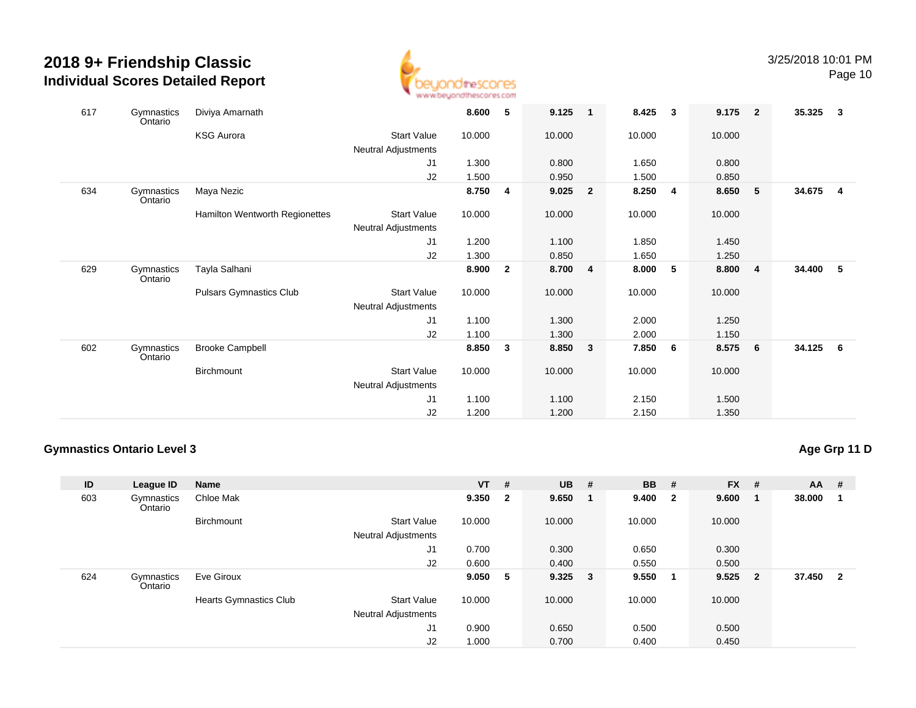

| 617 | Gymnastics<br>Ontario | Diviya Amarnath                |                            | 8.600  | 5              | 9.125   | $\overline{\phantom{0}}$ 1 | 8.425  | $\overline{\mathbf{3}}$ | 9.175  | $\overline{2}$ | 35.325 | $\mathbf{3}$            |
|-----|-----------------------|--------------------------------|----------------------------|--------|----------------|---------|----------------------------|--------|-------------------------|--------|----------------|--------|-------------------------|
|     |                       | <b>KSG Aurora</b>              | <b>Start Value</b>         | 10.000 |                | 10.000  |                            | 10.000 |                         | 10.000 |                |        |                         |
|     |                       |                                | Neutral Adjustments        |        |                |         |                            |        |                         |        |                |        |                         |
|     |                       |                                | J1                         | 1.300  |                | 0.800   |                            | 1.650  |                         | 0.800  |                |        |                         |
|     |                       |                                | J2                         | 1.500  |                | 0.950   |                            | 1.500  |                         | 0.850  |                |        |                         |
| 634 | Gymnastics<br>Ontario | Maya Nezic                     |                            | 8.750  | 4              | 9.025   | $\overline{2}$             | 8.250  | $\overline{4}$          | 8.650  | 5              | 34.675 | $\overline{\mathbf{4}}$ |
|     |                       | Hamilton Wentworth Regionettes | <b>Start Value</b>         | 10.000 |                | 10.000  |                            | 10.000 |                         | 10.000 |                |        |                         |
|     |                       |                                | Neutral Adjustments        |        |                |         |                            |        |                         |        |                |        |                         |
|     |                       |                                | J <sub>1</sub>             | 1.200  |                | 1.100   |                            | 1.850  |                         | 1.450  |                |        |                         |
|     |                       |                                | J2                         | 1.300  |                | 0.850   |                            | 1.650  |                         | 1.250  |                |        |                         |
| 629 | Gymnastics<br>Ontario | Tayla Salhani                  |                            | 8.900  | $\overline{2}$ | 8.700 4 |                            | 8.000  | $-5$                    | 8.800  | $\overline{4}$ | 34.400 | 5                       |
|     |                       | <b>Pulsars Gymnastics Club</b> | <b>Start Value</b>         | 10.000 |                | 10.000  |                            | 10.000 |                         | 10.000 |                |        |                         |
|     |                       |                                | <b>Neutral Adjustments</b> |        |                |         |                            |        |                         |        |                |        |                         |
|     |                       |                                | J <sub>1</sub>             | 1.100  |                | 1.300   |                            | 2.000  |                         | 1.250  |                |        |                         |
|     |                       |                                | J2                         | 1.100  |                | 1.300   |                            | 2.000  |                         | 1.150  |                |        |                         |
| 602 | Gymnastics<br>Ontario | <b>Brooke Campbell</b>         |                            | 8.850  | 3              | 8.850   | $\mathbf{3}$               | 7.850  | 6                       | 8.575  | 6              | 34.125 | 6                       |
|     |                       | Birchmount                     | <b>Start Value</b>         | 10.000 |                | 10.000  |                            | 10.000 |                         | 10.000 |                |        |                         |
|     |                       |                                | Neutral Adjustments        |        |                |         |                            |        |                         |        |                |        |                         |
|     |                       |                                | J <sub>1</sub>             | 1.100  |                | 1.100   |                            | 2.150  |                         | 1.500  |                |        |                         |
|     |                       |                                | J2                         | 1.200  |                | 1.200   |                            | 2.150  |                         | 1.350  |                |        |                         |

#### **Gymnastics Ontario Level 3**

## **Age Grp 11 D**

| ID  | League ID             | <b>Name</b>                   |                                                  | $VT$ # |                         | $UB$ #    |    | <b>BB</b> # |                         | $FX$ #    |     | $AA$ # |                         |
|-----|-----------------------|-------------------------------|--------------------------------------------------|--------|-------------------------|-----------|----|-------------|-------------------------|-----------|-----|--------|-------------------------|
| 603 | Gymnastics<br>Ontario | Chloe Mak                     |                                                  | 9.350  | $\overline{\mathbf{2}}$ | 9.650     | -1 | 9.400       | $\overline{\mathbf{2}}$ | 9.600     | - 1 | 38.000 | - 1                     |
|     |                       | <b>Birchmount</b>             | <b>Start Value</b><br><b>Neutral Adjustments</b> | 10.000 |                         | 10.000    |    | 10.000      |                         | 10.000    |     |        |                         |
|     |                       |                               | J1                                               | 0.700  |                         | 0.300     |    | 0.650       |                         | 0.300     |     |        |                         |
|     |                       |                               | J2                                               | 0.600  |                         | 0.400     |    | 0.550       |                         | 0.500     |     |        |                         |
| 624 | Gymnastics<br>Ontario | Eve Giroux                    |                                                  | 9.050  | 5                       | $9.325$ 3 |    | 9.550       | -1                      | $9.525$ 2 |     | 37.450 | $\overline{\mathbf{2}}$ |
|     |                       | <b>Hearts Gymnastics Club</b> | <b>Start Value</b><br><b>Neutral Adjustments</b> | 10.000 |                         | 10.000    |    | 10.000      |                         | 10.000    |     |        |                         |
|     |                       |                               | J <sub>1</sub>                                   | 0.900  |                         | 0.650     |    | 0.500       |                         | 0.500     |     |        |                         |
|     |                       |                               | J2                                               | 1.000  |                         | 0.700     |    | 0.400       |                         | 0.450     |     |        |                         |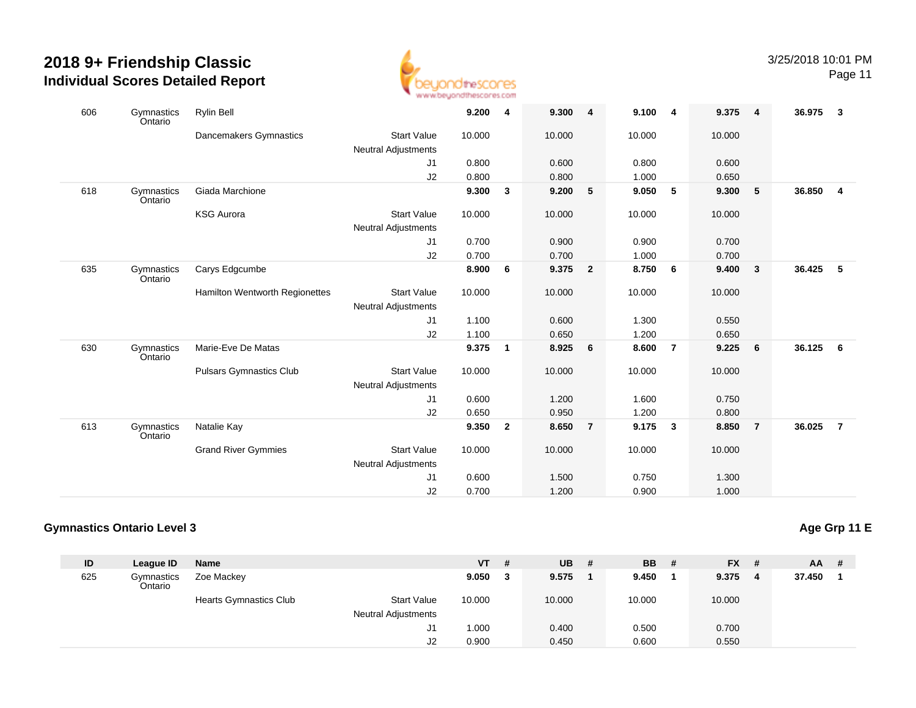

Page 11

| 606 | Gymnastics<br>Ontario | <b>Rylin Bell</b>                     |                            | 9.200  | 4            | 9.300  | $\overline{4}$ | 9.100  | 4              | 9.375  | $\overline{4}$          | 36.975 | $\overline{\mathbf{3}}$ |
|-----|-----------------------|---------------------------------------|----------------------------|--------|--------------|--------|----------------|--------|----------------|--------|-------------------------|--------|-------------------------|
|     |                       | Dancemakers Gymnastics                | <b>Start Value</b>         | 10.000 |              | 10.000 |                | 10.000 |                | 10.000 |                         |        |                         |
|     |                       |                                       | <b>Neutral Adjustments</b> |        |              |        |                |        |                |        |                         |        |                         |
|     |                       |                                       | J1                         | 0.800  |              | 0.600  |                | 0.800  |                | 0.600  |                         |        |                         |
|     |                       |                                       | J2                         | 0.800  |              | 0.800  |                | 1.000  |                | 0.650  |                         |        |                         |
| 618 | Gymnastics<br>Ontario | Giada Marchione                       |                            | 9.300  | 3            | 9.200  | 5              | 9.050  | 5              | 9.300  | $-5$                    | 36.850 | $\overline{4}$          |
|     |                       | <b>KSG Aurora</b>                     | <b>Start Value</b>         | 10.000 |              | 10.000 |                | 10.000 |                | 10.000 |                         |        |                         |
|     |                       |                                       | <b>Neutral Adjustments</b> |        |              |        |                |        |                |        |                         |        |                         |
|     |                       |                                       | J1                         | 0.700  |              | 0.900  |                | 0.900  |                | 0.700  |                         |        |                         |
|     |                       |                                       | J2                         | 0.700  |              | 0.700  |                | 1.000  |                | 0.700  |                         |        |                         |
| 635 | Gymnastics<br>Ontario | Carys Edgcumbe                        |                            | 8.900  | 6            | 9.375  | $\overline{2}$ | 8.750  | 6              | 9.400  | $\overline{\mathbf{3}}$ | 36.425 | 5                       |
|     |                       | <b>Hamilton Wentworth Regionettes</b> | <b>Start Value</b>         | 10.000 |              | 10.000 |                | 10.000 |                | 10.000 |                         |        |                         |
|     |                       |                                       | <b>Neutral Adjustments</b> |        |              |        |                |        |                |        |                         |        |                         |
|     |                       |                                       | J1                         | 1.100  |              | 0.600  |                | 1.300  |                | 0.550  |                         |        |                         |
|     |                       |                                       | J2                         | 1.100  |              | 0.650  |                | 1.200  |                | 0.650  |                         |        |                         |
| 630 | Gymnastics<br>Ontario | Marie-Eve De Matas                    |                            | 9.375  | $\mathbf{1}$ | 8.925  | 6              | 8.600  | $\overline{7}$ | 9.225  | 6                       | 36.125 | 6                       |
|     |                       | <b>Pulsars Gymnastics Club</b>        | <b>Start Value</b>         | 10.000 |              | 10.000 |                | 10.000 |                | 10.000 |                         |        |                         |
|     |                       |                                       | <b>Neutral Adjustments</b> |        |              |        |                |        |                |        |                         |        |                         |
|     |                       |                                       | J <sub>1</sub>             | 0.600  |              | 1.200  |                | 1.600  |                | 0.750  |                         |        |                         |
|     |                       |                                       | J2                         | 0.650  |              | 0.950  |                | 1.200  |                | 0.800  |                         |        |                         |
| 613 | Gymnastics<br>Ontario | Natalie Kay                           |                            | 9.350  | $\mathbf{2}$ | 8.650  | $\overline{7}$ | 9.175  | 3              | 8.850  | $\overline{7}$          | 36.025 | $\overline{7}$          |
|     |                       | <b>Grand River Gymmies</b>            | <b>Start Value</b>         | 10.000 |              | 10.000 |                | 10.000 |                | 10.000 |                         |        |                         |
|     |                       |                                       | <b>Neutral Adjustments</b> |        |              |        |                |        |                |        |                         |        |                         |
|     |                       |                                       | J <sub>1</sub>             | 0.600  |              | 1.500  |                | 0.750  |                | 1.300  |                         |        |                         |
|     |                       |                                       | J2                         | 0.700  |              | 1.200  |                | 0.900  |                | 1.000  |                         |        |                         |

#### **Gymnastics Ontario Level 3**

**Age Grp 11 E**

| ID  | League ID             | Name                          |                            | <b>VT</b> | # | <b>UB</b> | - # | <b>BB</b> | - # | <b>FX</b> | -# | <b>AA</b> | # |
|-----|-----------------------|-------------------------------|----------------------------|-----------|---|-----------|-----|-----------|-----|-----------|----|-----------|---|
| 625 | Gymnastics<br>Ontario | Zoe Mackey                    |                            | 9.050     | 3 | 9.575     |     | 9.450     |     | 9.375     | -4 | 37.450    |   |
|     |                       | <b>Hearts Gymnastics Club</b> | <b>Start Value</b>         | 10.000    |   | 10.000    |     | 10.000    |     | 10.000    |    |           |   |
|     |                       |                               | <b>Neutral Adjustments</b> |           |   |           |     |           |     |           |    |           |   |
|     |                       |                               | J1                         | 1.000     |   | 0.400     |     | 0.500     |     | 0.700     |    |           |   |
|     |                       |                               | J2                         | 0.900     |   | 0.450     |     | 0.600     |     | 0.550     |    |           |   |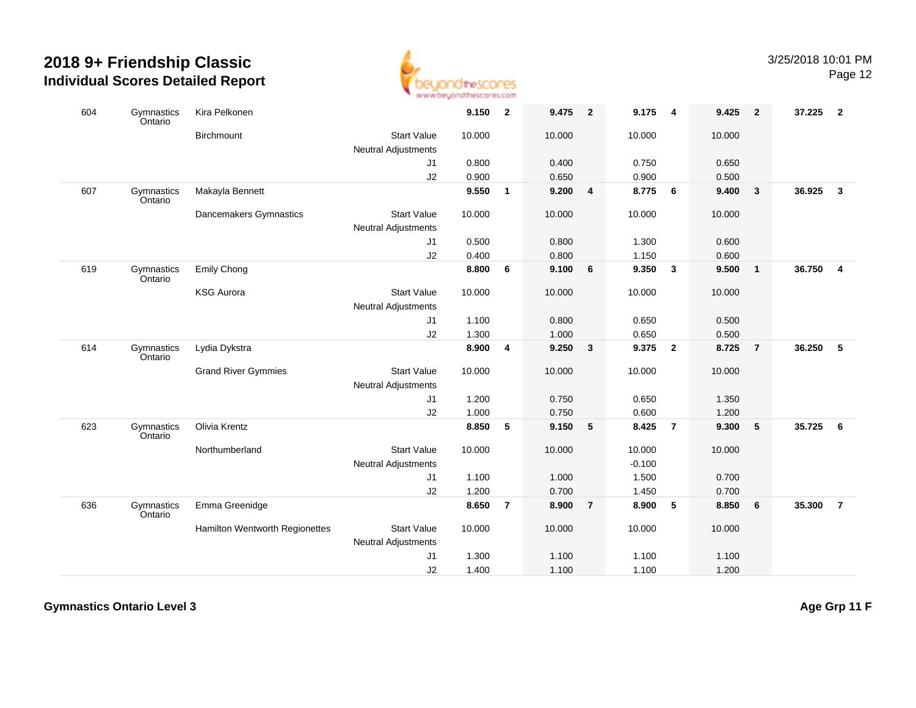

| 604 | Gymnastics<br>Ontario | Kira Pelkonen                  |                            | 9.150  | $\overline{\mathbf{2}}$ | 9.475  | $\overline{\mathbf{2}}$ | 9.175    | $\overline{\mathbf{4}}$ | 9.425  | $\overline{2}$ | 37.225 | $\overline{\mathbf{2}}$ |
|-----|-----------------------|--------------------------------|----------------------------|--------|-------------------------|--------|-------------------------|----------|-------------------------|--------|----------------|--------|-------------------------|
|     |                       | Birchmount                     | <b>Start Value</b>         | 10.000 |                         | 10.000 |                         | 10.000   |                         | 10.000 |                |        |                         |
|     |                       |                                | Neutral Adjustments        |        |                         |        |                         |          |                         |        |                |        |                         |
|     |                       |                                | J1                         | 0.800  |                         | 0.400  |                         | 0.750    |                         | 0.650  |                |        |                         |
|     |                       |                                | J2                         | 0.900  |                         | 0.650  |                         | 0.900    |                         | 0.500  |                |        |                         |
| 607 | Gymnastics<br>Ontario | Makayla Bennett                |                            | 9.550  | $\mathbf{1}$            | 9.200  | $\overline{\mathbf{4}}$ | 8.775    | $6\phantom{.}6$         | 9.400  | $\mathbf{3}$   | 36.925 | $\mathbf{3}$            |
|     |                       | Dancemakers Gymnastics         | <b>Start Value</b>         | 10.000 |                         | 10.000 |                         | 10.000   |                         | 10.000 |                |        |                         |
|     |                       |                                | <b>Neutral Adjustments</b> |        |                         |        |                         |          |                         |        |                |        |                         |
|     |                       |                                | J <sub>1</sub>             | 0.500  |                         | 0.800  |                         | 1.300    |                         | 0.600  |                |        |                         |
|     |                       |                                | J2                         | 0.400  |                         | 0.800  |                         | 1.150    |                         | 0.600  |                |        |                         |
| 619 | Gymnastics<br>Ontario | <b>Emily Chong</b>             |                            | 8.800  | 6                       | 9.100  | 6                       | 9.350    | $\overline{\mathbf{3}}$ | 9.500  | $\mathbf{1}$   | 36.750 | $\overline{4}$          |
|     |                       | <b>KSG Aurora</b>              | <b>Start Value</b>         | 10.000 |                         | 10.000 |                         | 10.000   |                         | 10.000 |                |        |                         |
|     |                       |                                | <b>Neutral Adjustments</b> |        |                         |        |                         |          |                         |        |                |        |                         |
|     |                       |                                | J <sub>1</sub>             | 1.100  |                         | 0.800  |                         | 0.650    |                         | 0.500  |                |        |                         |
|     |                       |                                | J2                         | 1.300  |                         | 1.000  |                         | 0.650    |                         | 0.500  |                |        |                         |
| 614 | Gymnastics<br>Ontario | Lydia Dykstra                  |                            | 8.900  | 4                       | 9.250  | $\overline{\mathbf{3}}$ | 9.375    | $\overline{\mathbf{2}}$ | 8.725  | $\overline{7}$ | 36.250 | $-5$                    |
|     |                       | <b>Grand River Gymmies</b>     | <b>Start Value</b>         | 10.000 |                         | 10.000 |                         | 10.000   |                         | 10.000 |                |        |                         |
|     |                       |                                | Neutral Adjustments        |        |                         |        |                         |          |                         |        |                |        |                         |
|     |                       |                                | J1                         | 1.200  |                         | 0.750  |                         | 0.650    |                         | 1.350  |                |        |                         |
|     |                       |                                | J2                         | 1.000  |                         | 0.750  |                         | 0.600    |                         | 1.200  |                |        |                         |
| 623 | Gymnastics<br>Ontario | Olivia Krentz                  |                            | 8.850  | 5                       | 9.150  | 5                       | 8.425    | $\overline{7}$          | 9.300  | 5              | 35.725 | 6                       |
|     |                       | Northumberland                 | <b>Start Value</b>         | 10.000 |                         | 10.000 |                         | 10.000   |                         | 10.000 |                |        |                         |
|     |                       |                                | <b>Neutral Adjustments</b> |        |                         |        |                         | $-0.100$ |                         |        |                |        |                         |
|     |                       |                                | J1                         | 1.100  |                         | 1.000  |                         | 1.500    |                         | 0.700  |                |        |                         |
|     |                       |                                | J2                         | 1.200  |                         | 0.700  |                         | 1.450    |                         | 0.700  |                |        |                         |
| 636 | Gymnastics<br>Ontario | Emma Greenidge                 |                            | 8.650  | $\overline{7}$          | 8.900  | $\overline{7}$          | 8.900    | $\sqrt{5}$              | 8.850  | 6              | 35.300 | $\overline{7}$          |
|     |                       | Hamilton Wentworth Regionettes | <b>Start Value</b>         | 10.000 |                         | 10.000 |                         | 10.000   |                         | 10.000 |                |        |                         |
|     |                       |                                | <b>Neutral Adjustments</b> |        |                         |        |                         |          |                         |        |                |        |                         |
|     |                       |                                | J <sub>1</sub>             | 1.300  |                         | 1.100  |                         | 1.100    |                         | 1.100  |                |        |                         |
|     |                       |                                | J2                         | 1.400  |                         | 1.100  |                         | 1.100    |                         | 1.200  |                |        |                         |

**Gymnastics Ontario Level 3**

**Age Grp 11 F**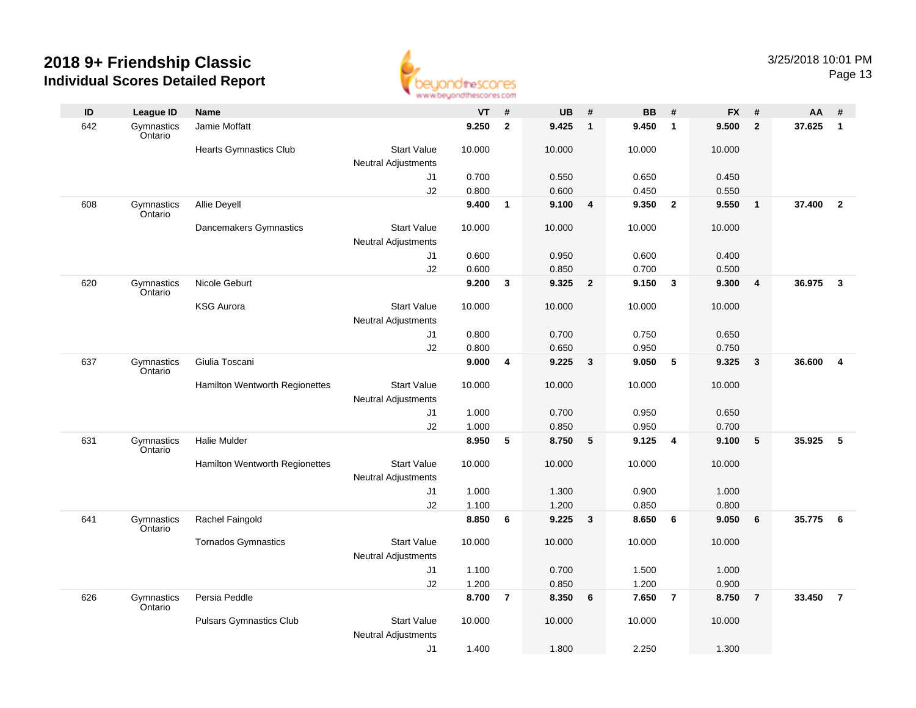

| ID  | <b>League ID</b>      | <b>Name</b>                    |                                                  | <b>VT</b> | #              | <b>UB</b> | #               | <b>BB</b> | #                       | <b>FX</b> | #              | AA     | #                       |
|-----|-----------------------|--------------------------------|--------------------------------------------------|-----------|----------------|-----------|-----------------|-----------|-------------------------|-----------|----------------|--------|-------------------------|
| 642 | Gymnastics<br>Ontario | Jamie Moffatt                  |                                                  | 9.250     | $\overline{2}$ | 9.425     | $\mathbf{1}$    | 9.450     | $\overline{1}$          | 9.500     | $\overline{2}$ | 37.625 | $\mathbf{1}$            |
|     |                       | <b>Hearts Gymnastics Club</b>  | <b>Start Value</b><br><b>Neutral Adjustments</b> | 10.000    |                | 10.000    |                 | 10.000    |                         | 10.000    |                |        |                         |
|     |                       |                                | J1                                               | 0.700     |                | 0.550     |                 | 0.650     |                         | 0.450     |                |        |                         |
|     |                       |                                | J2                                               | 0.800     |                | 0.600     |                 | 0.450     |                         | 0.550     |                |        |                         |
| 608 | Gymnastics<br>Ontario | Allie Deyell                   |                                                  | 9.400     | $\mathbf{1}$   | 9.100     | 4               | 9.350     | $\overline{2}$          | 9.550     | $\overline{1}$ | 37,400 | $\overline{2}$          |
|     |                       | Dancemakers Gymnastics         | <b>Start Value</b><br><b>Neutral Adjustments</b> | 10.000    |                | 10.000    |                 | 10.000    |                         | 10.000    |                |        |                         |
|     |                       |                                | J1                                               | 0.600     |                | 0.950     |                 | 0.600     |                         | 0.400     |                |        |                         |
|     |                       |                                | J2                                               | 0.600     |                | 0.850     |                 | 0.700     |                         | 0.500     |                |        |                         |
| 620 | Gymnastics<br>Ontario | Nicole Geburt                  |                                                  | 9.200     | $\mathbf{3}$   | 9.325     | $\overline{2}$  | 9.150     | $\overline{\mathbf{3}}$ | 9.300     | $\overline{4}$ | 36.975 | $\overline{\mathbf{3}}$ |
|     |                       | <b>KSG Aurora</b>              | <b>Start Value</b>                               | 10.000    |                | 10.000    |                 | 10.000    |                         | 10.000    |                |        |                         |
|     |                       |                                | Neutral Adjustments                              |           |                |           |                 |           |                         |           |                |        |                         |
|     |                       |                                | J1                                               | 0.800     |                | 0.700     |                 | 0.750     |                         | 0.650     |                |        |                         |
|     |                       |                                | J2                                               | 0.800     |                | 0.650     |                 | 0.950     |                         | 0.750     |                |        |                         |
| 637 | Gymnastics<br>Ontario | Giulia Toscani                 |                                                  | 9.000     | 4              | 9.225     | $\mathbf{3}$    | 9.050     | 5                       | 9.325     | $\mathbf{3}$   | 36.600 | $\overline{\mathbf{4}}$ |
|     |                       | Hamilton Wentworth Regionettes | <b>Start Value</b><br><b>Neutral Adjustments</b> | 10.000    |                | 10.000    |                 | 10.000    |                         | 10.000    |                |        |                         |
|     |                       |                                | J1                                               | 1.000     |                | 0.700     |                 | 0.950     |                         | 0.650     |                |        |                         |
|     |                       |                                | J2                                               | 1.000     |                | 0.850     |                 | 0.950     |                         | 0.700     |                |        |                         |
| 631 | Gymnastics<br>Ontario | <b>Halie Mulder</b>            |                                                  | 8.950     | 5              | 8.750     | 5               | 9.125     | 4                       | 9.100     | 5              | 35.925 | $\sqrt{5}$              |
|     |                       | Hamilton Wentworth Regionettes | <b>Start Value</b><br><b>Neutral Adjustments</b> | 10.000    |                | 10.000    |                 | 10.000    |                         | 10.000    |                |        |                         |
|     |                       |                                | J1                                               | 1.000     |                | 1.300     |                 | 0.900     |                         | 1.000     |                |        |                         |
|     |                       |                                | J2                                               | 1.100     |                | 1.200     |                 | 0.850     |                         | 0.800     |                |        |                         |
| 641 | Gymnastics<br>Ontario | Rachel Faingold                |                                                  | 8.850     | 6              | 9.225     | $\mathbf{3}$    | 8.650     | 6                       | 9.050     | 6              | 35.775 | 6                       |
|     |                       | <b>Tornados Gymnastics</b>     | <b>Start Value</b><br>Neutral Adjustments        | 10.000    |                | 10.000    |                 | 10.000    |                         | 10.000    |                |        |                         |
|     |                       |                                | J1                                               | 1.100     |                | 0.700     |                 | 1.500     |                         | 1.000     |                |        |                         |
|     |                       |                                | J2                                               | 1.200     |                | 0.850     |                 | 1.200     |                         | 0.900     |                |        |                         |
| 626 | Gymnastics<br>Ontario | Persia Peddle                  |                                                  | 8.700     | $\overline{7}$ | 8.350     | $6\overline{6}$ | 7.650     | $\overline{7}$          | 8.750     | $\overline{7}$ | 33.450 | $\overline{7}$          |
|     |                       | <b>Pulsars Gymnastics Club</b> | <b>Start Value</b><br>Neutral Adjustments        | 10.000    |                | 10.000    |                 | 10.000    |                         | 10.000    |                |        |                         |
|     |                       |                                | J1                                               | 1.400     |                | 1.800     |                 | 2.250     |                         | 1.300     |                |        |                         |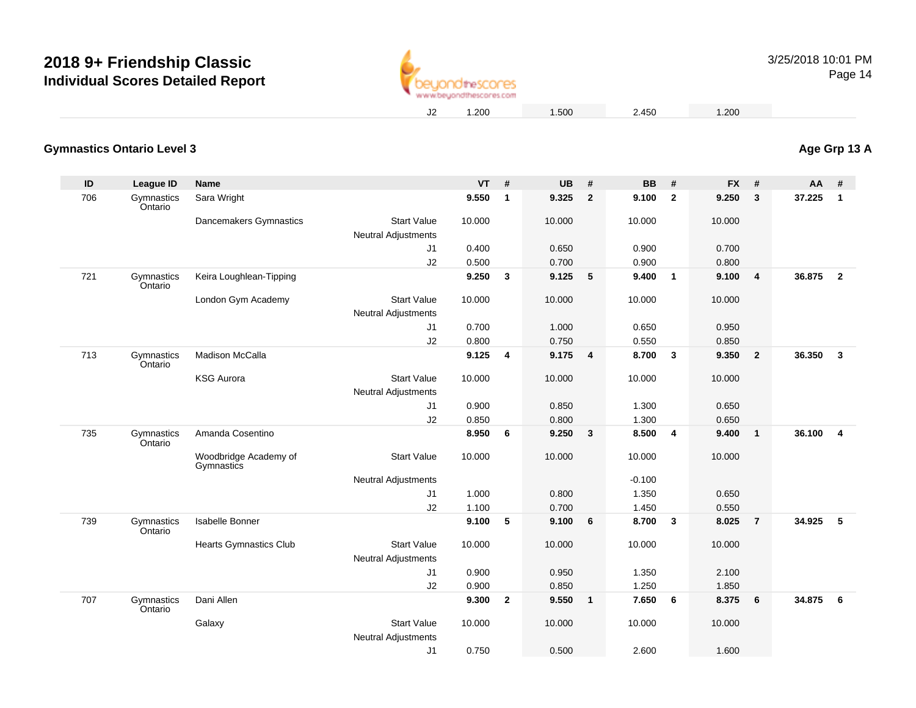

Page 14

1.200 1.500 2.450 1.200

#### **Gymnastics Ontario Level 3Age Grp 13 A**

| ID  | League ID             | Name                                |                                                  | <b>VT</b> | #            | <b>UB</b> | #                       | <b>BB</b> | #                       | <b>FX</b> | #              | <b>AA</b> | #                       |
|-----|-----------------------|-------------------------------------|--------------------------------------------------|-----------|--------------|-----------|-------------------------|-----------|-------------------------|-----------|----------------|-----------|-------------------------|
| 706 | Gymnastics<br>Ontario | Sara Wright                         |                                                  | 9.550     | $\mathbf{1}$ | 9.325     | $\mathbf{2}$            | 9.100     | $\overline{2}$          | 9.250     | $\mathbf{3}$   | 37.225    | $\mathbf{1}$            |
|     |                       | Dancemakers Gymnastics              | <b>Start Value</b><br><b>Neutral Adjustments</b> | 10.000    |              | 10.000    |                         | 10.000    |                         | 10.000    |                |           |                         |
|     |                       |                                     | J <sub>1</sub>                                   | 0.400     |              | 0.650     |                         | 0.900     |                         | 0.700     |                |           |                         |
|     |                       |                                     | J2                                               | 0.500     |              | 0.700     |                         | 0.900     |                         | 0.800     |                |           |                         |
| 721 | Gymnastics<br>Ontario | Keira Loughlean-Tipping             |                                                  | 9.250     | 3            | 9.125     | 5                       | 9.400     | $\overline{1}$          | 9.100     | $\overline{4}$ | 36.875    | $\overline{\mathbf{2}}$ |
|     |                       | London Gym Academy                  | <b>Start Value</b>                               | 10.000    |              | 10.000    |                         | 10.000    |                         | 10.000    |                |           |                         |
|     |                       |                                     | <b>Neutral Adjustments</b>                       |           |              |           |                         |           |                         |           |                |           |                         |
|     |                       |                                     | J <sub>1</sub>                                   | 0.700     |              | 1.000     |                         | 0.650     |                         | 0.950     |                |           |                         |
|     |                       |                                     | J2                                               | 0.800     |              | 0.750     |                         | 0.550     |                         | 0.850     |                |           |                         |
| 713 | Gymnastics<br>Ontario | <b>Madison McCalla</b>              |                                                  | 9.125     | 4            | 9.175     | $\overline{4}$          | 8.700     | $\mathbf{3}$            | 9.350     | $\overline{2}$ | 36.350    | $\overline{\mathbf{3}}$ |
|     |                       | <b>KSG Aurora</b>                   | <b>Start Value</b><br><b>Neutral Adjustments</b> | 10.000    |              | 10.000    |                         | 10.000    |                         | 10.000    |                |           |                         |
|     |                       |                                     | J1                                               | 0.900     |              | 0.850     |                         | 1.300     |                         | 0.650     |                |           |                         |
|     |                       |                                     | J2                                               | 0.850     |              | 0.800     |                         | 1.300     |                         | 0.650     |                |           |                         |
| 735 | Gymnastics<br>Ontario | Amanda Cosentino                    |                                                  | 8.950     | 6            | 9.250     | $\overline{\mathbf{3}}$ | 8.500     | $\overline{\mathbf{4}}$ | 9.400     | $\mathbf{1}$   | 36.100    | $\overline{4}$          |
|     |                       | Woodbridge Academy of<br>Gymnastics | <b>Start Value</b>                               | 10.000    |              | 10.000    |                         | 10.000    |                         | 10.000    |                |           |                         |
|     |                       |                                     | <b>Neutral Adjustments</b>                       |           |              |           |                         | $-0.100$  |                         |           |                |           |                         |
|     |                       |                                     | J <sub>1</sub>                                   | 1.000     |              | 0.800     |                         | 1.350     |                         | 0.650     |                |           |                         |
|     |                       |                                     | J2                                               | 1.100     |              | 0.700     |                         | 1.450     |                         | 0.550     |                |           |                         |
| 739 | Gymnastics<br>Ontario | Isabelle Bonner                     |                                                  | 9.100     | 5            | 9.100     | 6                       | 8.700     | $\mathbf{3}$            | 8.025     | $\overline{7}$ | 34.925    | 5                       |
|     |                       | <b>Hearts Gymnastics Club</b>       | <b>Start Value</b><br>Neutral Adjustments        | 10.000    |              | 10.000    |                         | 10.000    |                         | 10.000    |                |           |                         |
|     |                       |                                     | J <sub>1</sub>                                   | 0.900     |              | 0.950     |                         | 1.350     |                         | 2.100     |                |           |                         |
|     |                       |                                     | J2                                               | 0.900     |              | 0.850     |                         | 1.250     |                         | 1.850     |                |           |                         |
| 707 | Gymnastics<br>Ontario | Dani Allen                          |                                                  | 9.300     | $\mathbf{2}$ | 9.550     | $\blacksquare$          | 7.650     | - 6                     | 8.375     | 6              | 34.875    | $6\overline{6}$         |
|     |                       | Galaxy                              | <b>Start Value</b><br>Neutral Adjustments        | 10.000    |              | 10.000    |                         | 10.000    |                         | 10.000    |                |           |                         |
|     |                       |                                     | J <sub>1</sub>                                   | 0.750     |              | 0.500     |                         | 2.600     |                         | 1.600     |                |           |                         |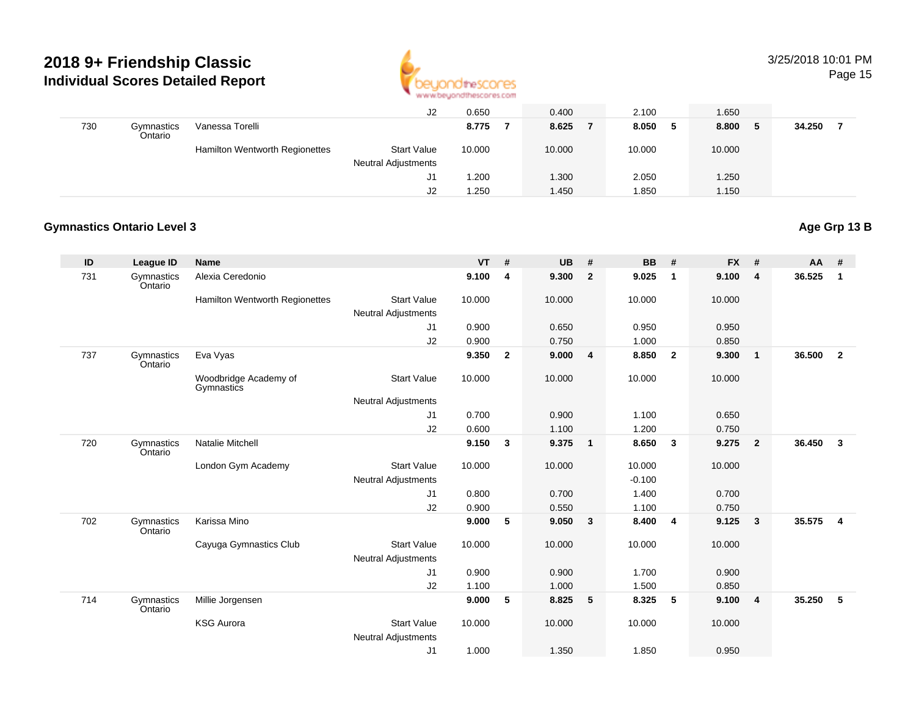

# 3/25/2018 10:01 PM

Page 15

|     |                       |                                       | J2                         | 0.650  | 0.400  | 2.100   | 1.650        |        |
|-----|-----------------------|---------------------------------------|----------------------------|--------|--------|---------|--------------|--------|
| 730 | Gymnastics<br>Ontario | Vanessa Torelli                       |                            | 8.775  | 8.625  | 8.050 5 | 8.800<br>- 5 | 34.250 |
|     |                       | <b>Hamilton Wentworth Regionettes</b> | <b>Start Value</b>         | 10.000 | 10.000 | 10.000  | 10.000       |        |
|     |                       |                                       | <b>Neutral Adjustments</b> |        |        |         |              |        |
|     |                       |                                       | J1                         | .200   | 1.300  | 2.050   | 1.250        |        |
|     |                       |                                       | J <sub>2</sub>             | 1.250  | 1.450  | .850    | 1.150        |        |

#### **Gymnastics Ontario Level 3**

#### **Age Grp 13 B**

| ID  | <b>League ID</b>      | Name                                |                            | <b>VT</b> | #            | <b>UB</b> | #                       | <b>BB</b> | #              | <b>FX</b> | #              | AA     | #              |
|-----|-----------------------|-------------------------------------|----------------------------|-----------|--------------|-----------|-------------------------|-----------|----------------|-----------|----------------|--------|----------------|
| 731 | Gymnastics<br>Ontario | Alexia Ceredonio                    |                            | 9.100     | 4            | 9.300     | $\overline{2}$          | 9.025     | $\mathbf{1}$   | 9.100     | 4              | 36.525 | 1              |
|     |                       | Hamilton Wentworth Regionettes      | <b>Start Value</b>         | 10.000    |              | 10.000    |                         | 10.000    |                | 10.000    |                |        |                |
|     |                       |                                     | <b>Neutral Adjustments</b> |           |              |           |                         |           |                |           |                |        |                |
|     |                       |                                     | J1                         | 0.900     |              | 0.650     |                         | 0.950     |                | 0.950     |                |        |                |
|     |                       |                                     | J2                         | 0.900     |              | 0.750     |                         | 1.000     |                | 0.850     |                |        |                |
| 737 | Gymnastics<br>Ontario | Eva Vyas                            |                            | 9.350     | $\mathbf{2}$ | 9.000     | $\overline{\mathbf{4}}$ | 8.850     | $\overline{2}$ | 9.300     | $\mathbf{1}$   | 36.500 | $\overline{2}$ |
|     |                       | Woodbridge Academy of<br>Gymnastics | <b>Start Value</b>         | 10.000    |              | 10.000    |                         | 10.000    |                | 10.000    |                |        |                |
|     |                       |                                     | <b>Neutral Adjustments</b> |           |              |           |                         |           |                |           |                |        |                |
|     |                       |                                     | J1                         | 0.700     |              | 0.900     |                         | 1.100     |                | 0.650     |                |        |                |
|     |                       |                                     | J2                         | 0.600     |              | 1.100     |                         | 1.200     |                | 0.750     |                |        |                |
| 720 | Gymnastics<br>Ontario | Natalie Mitchell                    |                            | 9.150     | 3            | 9.375     | $\blacksquare$          | 8.650     | $\mathbf{3}$   | 9.275     | $\overline{2}$ | 36.450 | 3              |
|     |                       | London Gym Academy                  | <b>Start Value</b>         | 10.000    |              | 10.000    |                         | 10.000    |                | 10.000    |                |        |                |
|     |                       |                                     | <b>Neutral Adjustments</b> |           |              |           |                         | $-0.100$  |                |           |                |        |                |
|     |                       |                                     | J1                         | 0.800     |              | 0.700     |                         | 1.400     |                | 0.700     |                |        |                |
|     |                       |                                     | J2                         | 0.900     |              | 0.550     |                         | 1.100     |                | 0.750     |                |        |                |
| 702 | Gymnastics<br>Ontario | Karissa Mino                        |                            | 9.000     | 5            | 9.050     | $\overline{\mathbf{3}}$ | 8.400     | - 4            | 9.125     | 3              | 35.575 | $\overline{4}$ |
|     |                       | Cayuga Gymnastics Club              | <b>Start Value</b>         | 10.000    |              | 10.000    |                         | 10.000    |                | 10.000    |                |        |                |
|     |                       |                                     | <b>Neutral Adjustments</b> |           |              |           |                         |           |                |           |                |        |                |
|     |                       |                                     | J1                         | 0.900     |              | 0.900     |                         | 1.700     |                | 0.900     |                |        |                |
|     |                       |                                     | J2                         | 1.100     |              | 1.000     |                         | 1.500     |                | 0.850     |                |        |                |
| 714 | Gymnastics<br>Ontario | Millie Jorgensen                    |                            | 9.000     | 5            | 8.825     | $-5$                    | 8.325     | 5              | 9.100     | 4              | 35.250 | -5             |
|     |                       | <b>KSG Aurora</b>                   | <b>Start Value</b>         | 10.000    |              | 10.000    |                         | 10.000    |                | 10.000    |                |        |                |
|     |                       |                                     | <b>Neutral Adjustments</b> |           |              |           |                         |           |                |           |                |        |                |
|     |                       |                                     | J1                         | 1.000     |              | 1.350     |                         | 1.850     |                | 0.950     |                |        |                |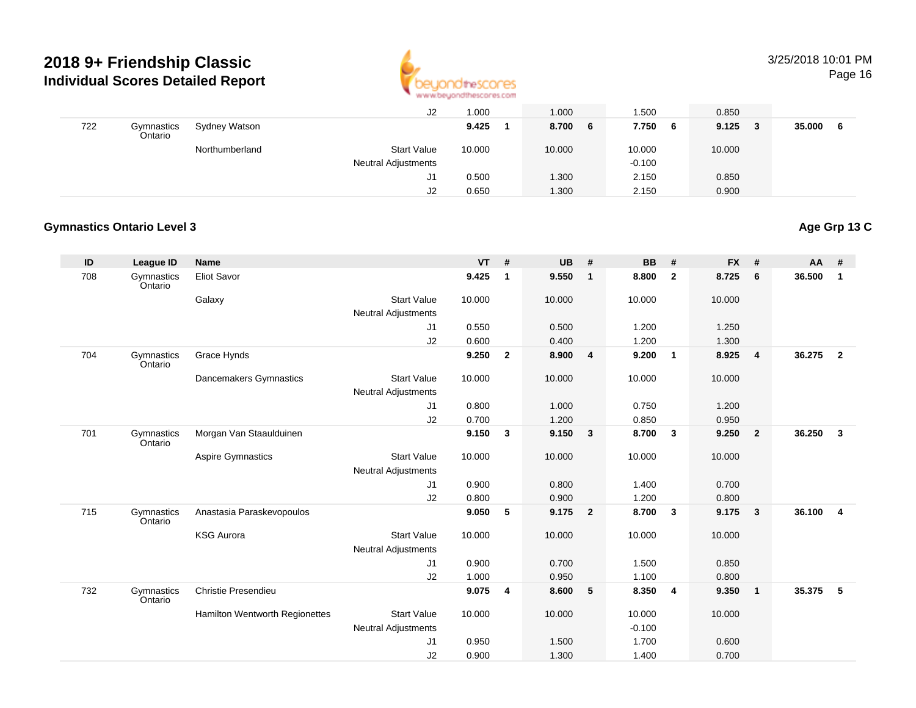

# 3/25/2018 10:01 PM

Page 16

|     |                       |                | J2                         | 1.000  | 1.000      | 1.500    | 0.850        |        |
|-----|-----------------------|----------------|----------------------------|--------|------------|----------|--------------|--------|
| 722 | Gymnastics<br>Ontario | Sydney Watson  |                            | 9.425  | 8.700<br>6 | 7.750 6  | 9.125<br>- 3 | 35.000 |
|     |                       | Northumberland | <b>Start Value</b>         | 10.000 | 10.000     | 10.000   | 10.000       |        |
|     |                       |                | <b>Neutral Adjustments</b> |        |            | $-0.100$ |              |        |
|     |                       |                | J1                         | 0.500  | 1.300      | 2.150    | 0.850        |        |
|     |                       |                | J2                         | 0.650  | 1.300      | 2.150    | 0.900        |        |

#### **Gymnastics Ontario Level 3**

### **Age Grp 13 C**

| ID  | League ID             | Name                           |                            | <b>VT</b> | #            | <b>UB</b> | #                       | <b>BB</b> | #                       | <b>FX</b> | #              | AA     | #                       |
|-----|-----------------------|--------------------------------|----------------------------|-----------|--------------|-----------|-------------------------|-----------|-------------------------|-----------|----------------|--------|-------------------------|
| 708 | Gymnastics<br>Ontario | <b>Eliot Savor</b>             |                            | 9.425     | $\mathbf{1}$ | 9.550     | $\overline{\mathbf{1}}$ | 8.800     | $\overline{2}$          | 8.725     | 6              | 36.500 | 1                       |
|     |                       | Galaxy                         | <b>Start Value</b>         | 10.000    |              | 10.000    |                         | 10.000    |                         | 10.000    |                |        |                         |
|     |                       |                                | Neutral Adjustments        |           |              |           |                         |           |                         |           |                |        |                         |
|     |                       |                                | J1                         | 0.550     |              | 0.500     |                         | 1.200     |                         | 1.250     |                |        |                         |
|     |                       |                                | J2                         | 0.600     |              | 0.400     |                         | 1.200     |                         | 1.300     |                |        |                         |
| 704 | Gymnastics<br>Ontario | Grace Hynds                    |                            | 9.250     | $\mathbf{2}$ | 8.900     | $\overline{\mathbf{4}}$ | 9.200     | $\overline{\mathbf{1}}$ | 8.925     | 4              | 36.275 | $\overline{2}$          |
|     |                       | Dancemakers Gymnastics         | <b>Start Value</b>         | 10.000    |              | 10.000    |                         | 10.000    |                         | 10.000    |                |        |                         |
|     |                       |                                | <b>Neutral Adjustments</b> |           |              |           |                         |           |                         |           |                |        |                         |
|     |                       |                                | J1                         | 0.800     |              | 1.000     |                         | 0.750     |                         | 1.200     |                |        |                         |
|     |                       |                                | J2                         | 0.700     |              | 1.200     |                         | 0.850     |                         | 0.950     |                |        |                         |
| 701 | Gymnastics<br>Ontario | Morgan Van Staaulduinen        |                            | 9.150     | $\mathbf{3}$ | 9.150     | $\overline{\mathbf{3}}$ | 8.700     | $\mathbf{3}$            | 9.250     | $\overline{2}$ | 36.250 | $\mathbf{3}$            |
|     |                       | <b>Aspire Gymnastics</b>       | <b>Start Value</b>         | 10.000    |              | 10.000    |                         | 10.000    |                         | 10.000    |                |        |                         |
|     |                       |                                | <b>Neutral Adjustments</b> |           |              |           |                         |           |                         |           |                |        |                         |
|     |                       |                                | J1                         | 0.900     |              | 0.800     |                         | 1.400     |                         | 0.700     |                |        |                         |
|     |                       |                                | J2                         | 0.800     |              | 0.900     |                         | 1.200     |                         | 0.800     |                |        |                         |
| 715 | Gymnastics<br>Ontario | Anastasia Paraskevopoulos      |                            | 9.050     | 5            | 9.175     | $\overline{\mathbf{2}}$ | 8.700     | $\mathbf{3}$            | 9.175     | $\mathbf{3}$   | 36.100 | $\overline{\mathbf{4}}$ |
|     |                       | <b>KSG Aurora</b>              | <b>Start Value</b>         | 10.000    |              | 10.000    |                         | 10.000    |                         | 10.000    |                |        |                         |
|     |                       |                                | <b>Neutral Adjustments</b> |           |              |           |                         |           |                         |           |                |        |                         |
|     |                       |                                | J <sub>1</sub>             | 0.900     |              | 0.700     |                         | 1.500     |                         | 0.850     |                |        |                         |
|     |                       |                                | J2                         | 1.000     |              | 0.950     |                         | 1.100     |                         | 0.800     |                |        |                         |
| 732 | Gymnastics<br>Ontario | Christie Presendieu            |                            | 9.075     | 4            | 8.600     | 5                       | 8.350     | $\overline{\mathbf{4}}$ | 9.350     | $\mathbf{1}$   | 35.375 | -5                      |
|     |                       | Hamilton Wentworth Regionettes | <b>Start Value</b>         | 10.000    |              | 10.000    |                         | 10.000    |                         | 10.000    |                |        |                         |
|     |                       |                                | Neutral Adjustments        |           |              |           |                         | $-0.100$  |                         |           |                |        |                         |
|     |                       |                                | J1                         | 0.950     |              | 1.500     |                         | 1.700     |                         | 0.600     |                |        |                         |
|     |                       |                                | J2                         | 0.900     |              | 1.300     |                         | 1.400     |                         | 0.700     |                |        |                         |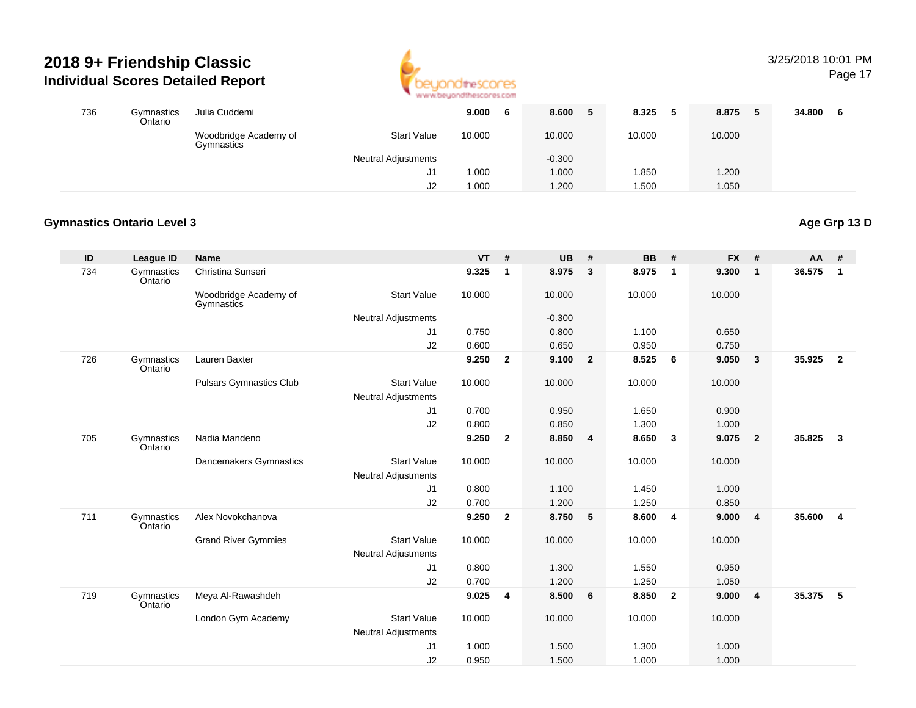

# 3/25/2018 10:01 PM

Page 17

| 736 | Gymnastics<br>Ontario | Julia Cuddemi                       |                            | 9.000  | 8.600    | 8.325  | 8.875<br>-5 | 34.800 |
|-----|-----------------------|-------------------------------------|----------------------------|--------|----------|--------|-------------|--------|
|     |                       | Woodbridge Academy of<br>Gymnastics | <b>Start Value</b>         | 10.000 | 10.000   | 10.000 | 10.000      |        |
|     |                       |                                     | <b>Neutral Adjustments</b> |        | $-0.300$ |        |             |        |
|     |                       |                                     | ا پ                        | 1.000  | 1.000    | .850   | 1.200       |        |
|     |                       |                                     | J2                         | 1.000  | 1.200    | .500   | 1.050       |        |

#### **Gymnastics Ontario Level 3**

| ID  | <b>League ID</b>      | <b>Name</b>                         |                            | <b>VT</b> | #            | <b>UB</b> | #                       | <b>BB</b> | #                       | <b>FX</b> | #              | $AA$ # |                |
|-----|-----------------------|-------------------------------------|----------------------------|-----------|--------------|-----------|-------------------------|-----------|-------------------------|-----------|----------------|--------|----------------|
| 734 | Gymnastics<br>Ontario | Christina Sunseri                   |                            | 9.325     | $\mathbf{1}$ | 8.975     | $\mathbf{3}$            | 8.975     | $\overline{\mathbf{1}}$ | 9.300     | $\overline{1}$ | 36.575 | $\mathbf{1}$   |
|     |                       | Woodbridge Academy of<br>Gymnastics | <b>Start Value</b>         | 10.000    |              | 10.000    |                         | 10.000    |                         | 10.000    |                |        |                |
|     |                       |                                     | <b>Neutral Adjustments</b> |           |              | $-0.300$  |                         |           |                         |           |                |        |                |
|     |                       |                                     | J <sub>1</sub>             | 0.750     |              | 0.800     |                         | 1.100     |                         | 0.650     |                |        |                |
|     |                       |                                     | J2                         | 0.600     |              | 0.650     |                         | 0.950     |                         | 0.750     |                |        |                |
| 726 | Gymnastics<br>Ontario | Lauren Baxter                       |                            | 9.250     | $\mathbf{2}$ | 9.100     | $\overline{\mathbf{2}}$ | 8.525     | 6                       | 9.050     | $\mathbf{3}$   | 35.925 | $\overline{2}$ |
|     |                       | <b>Pulsars Gymnastics Club</b>      | <b>Start Value</b>         | 10.000    |              | 10.000    |                         | 10.000    |                         | 10.000    |                |        |                |
|     |                       |                                     | Neutral Adjustments        |           |              |           |                         |           |                         |           |                |        |                |
|     |                       |                                     | J1                         | 0.700     |              | 0.950     |                         | 1.650     |                         | 0.900     |                |        |                |
|     |                       |                                     | J2                         | 0.800     |              | 0.850     |                         | 1.300     |                         | 1.000     |                |        |                |
| 705 | Gymnastics<br>Ontario | Nadia Mandeno                       |                            | 9.250     | $\mathbf{2}$ | 8.850     | $\overline{\mathbf{4}}$ | 8.650     | $\mathbf{3}$            | 9.075     | $\overline{2}$ | 35.825 | $\mathbf{3}$   |
|     |                       | Dancemakers Gymnastics              | <b>Start Value</b>         | 10.000    |              | 10.000    |                         | 10.000    |                         | 10.000    |                |        |                |
|     |                       |                                     | <b>Neutral Adjustments</b> |           |              |           |                         |           |                         |           |                |        |                |
|     |                       |                                     | J1                         | 0.800     |              | 1.100     |                         | 1.450     |                         | 1.000     |                |        |                |
|     |                       |                                     | J2                         | 0.700     |              | 1.200     |                         | 1.250     |                         | 0.850     |                |        |                |
| 711 | Gymnastics<br>Ontario | Alex Novokchanova                   |                            | 9.250     | $\mathbf{2}$ | 8.750     | $-5$                    | 8.600     | $\overline{\mathbf{4}}$ | 9.000     | $\overline{4}$ | 35.600 | $\overline{4}$ |
|     |                       | <b>Grand River Gymmies</b>          | <b>Start Value</b>         | 10.000    |              | 10.000    |                         | 10.000    |                         | 10.000    |                |        |                |
|     |                       |                                     | <b>Neutral Adjustments</b> |           |              |           |                         |           |                         |           |                |        |                |
|     |                       |                                     | J1                         | 0.800     |              | 1.300     |                         | 1.550     |                         | 0.950     |                |        |                |
|     |                       |                                     | J2                         | 0.700     |              | 1.200     |                         | 1.250     |                         | 1.050     |                |        |                |
| 719 | Gymnastics<br>Ontario | Meya Al-Rawashdeh                   |                            | 9.025     | 4            | 8.500     | 6                       | 8.850     | $\overline{\mathbf{2}}$ | 9.000     | $\overline{4}$ | 35.375 | 5              |
|     |                       | London Gym Academy                  | <b>Start Value</b>         | 10.000    |              | 10.000    |                         | 10.000    |                         | 10.000    |                |        |                |
|     |                       |                                     | <b>Neutral Adjustments</b> |           |              |           |                         |           |                         |           |                |        |                |
|     |                       |                                     | J1                         | 1.000     |              | 1.500     |                         | 1.300     |                         | 1.000     |                |        |                |
|     |                       |                                     | J2                         | 0.950     |              | 1.500     |                         | 1.000     |                         | 1.000     |                |        |                |

**Age Grp 13 D**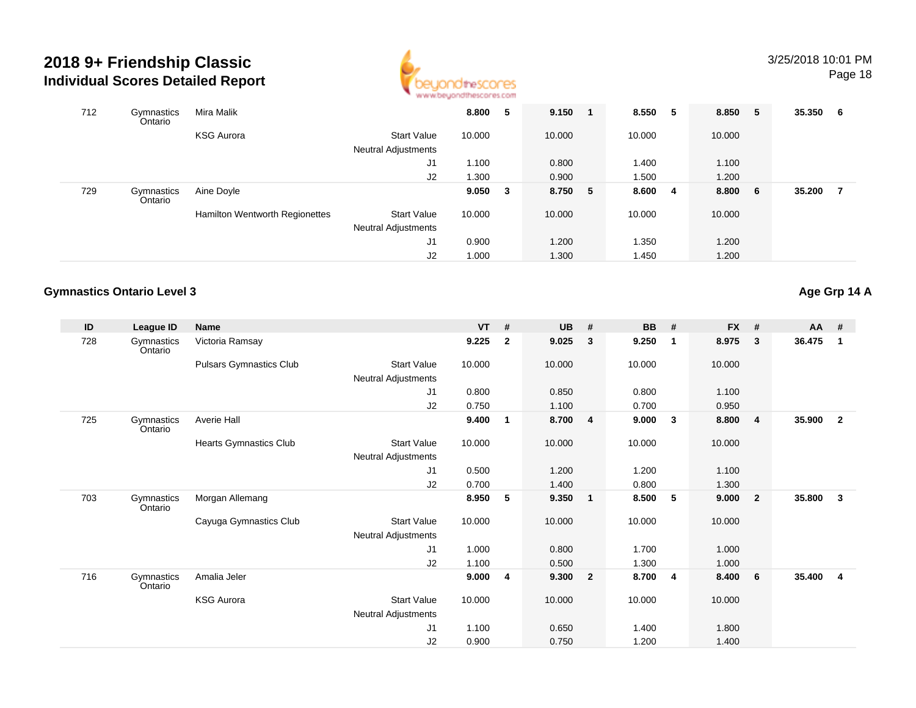

| 712 | Gymnastics<br>Ontario | Mira Malik                     |                            | 8.800  | -5 | 9.150   | -1 | 8.550  | -5 | 8.850 5 | 35.350 | 6   |
|-----|-----------------------|--------------------------------|----------------------------|--------|----|---------|----|--------|----|---------|--------|-----|
|     |                       | <b>KSG Aurora</b>              | <b>Start Value</b>         | 10.000 |    | 10.000  |    | 10.000 |    | 10.000  |        |     |
|     |                       |                                | <b>Neutral Adjustments</b> |        |    |         |    |        |    |         |        |     |
|     |                       |                                | J1                         | 1.100  |    | 0.800   |    | 1.400  |    | 1.100   |        |     |
|     |                       |                                | J2                         | 1.300  |    | 0.900   |    | 1.500  |    | 1.200   |        |     |
| 729 | Gymnastics<br>Ontario | Aine Doyle                     |                            | 9.050  | -3 | 8.750 5 |    | 8.600  | -4 | 8.800 6 | 35.200 | - 7 |
|     |                       | Hamilton Wentworth Regionettes | <b>Start Value</b>         | 10.000 |    | 10.000  |    | 10.000 |    | 10.000  |        |     |
|     |                       |                                | <b>Neutral Adjustments</b> |        |    |         |    |        |    |         |        |     |
|     |                       |                                | J1                         | 0.900  |    | 1.200   |    | 1.350  |    | 1.200   |        |     |
|     |                       |                                | J2                         | 1.000  |    | 1.300   |    | 1.450  |    | 1.200   |        |     |

#### **Gymnastics Ontario Level 3**

**Age Grp 14 A**

| ID  | League ID             | <b>Name</b>             |                            | <b>VT</b> | #            | <b>UB</b> | #                       | <b>BB</b> | #                       | <b>FX</b> | #                       | $AA$ # |                |
|-----|-----------------------|-------------------------|----------------------------|-----------|--------------|-----------|-------------------------|-----------|-------------------------|-----------|-------------------------|--------|----------------|
| 728 | Gymnastics<br>Ontario | Victoria Ramsay         |                            | 9.225     | $\mathbf{2}$ | 9.025     | 3                       | 9.250     | $\overline{\mathbf{1}}$ | 8.975     | 3                       | 36.475 | $\mathbf 1$    |
|     |                       | Pulsars Gymnastics Club | <b>Start Value</b>         | 10.000    |              | 10.000    |                         | 10.000    |                         | 10.000    |                         |        |                |
|     |                       |                         | Neutral Adjustments        |           |              |           |                         |           |                         |           |                         |        |                |
|     |                       |                         | J <sub>1</sub>             | 0.800     |              | 0.850     |                         | 0.800     |                         | 1.100     |                         |        |                |
|     |                       |                         | J2                         | 0.750     |              | 1.100     |                         | 0.700     |                         | 0.950     |                         |        |                |
| 725 | Gymnastics<br>Ontario | Averie Hall             |                            | 9.400     | 1            | 8.700     | $\overline{\mathbf{4}}$ | 9.000     | $\overline{\mathbf{3}}$ | 8.800     | $\overline{\mathbf{4}}$ | 35.900 | $\overline{2}$ |
|     |                       | Hearts Gymnastics Club  | <b>Start Value</b>         | 10.000    |              | 10.000    |                         | 10.000    |                         | 10.000    |                         |        |                |
|     |                       |                         | Neutral Adjustments        |           |              |           |                         |           |                         |           |                         |        |                |
|     |                       |                         | J <sub>1</sub>             | 0.500     |              | 1.200     |                         | 1.200     |                         | 1.100     |                         |        |                |
|     |                       |                         | J2                         | 0.700     |              | 1.400     |                         | 0.800     |                         | 1.300     |                         |        |                |
| 703 | Gymnastics<br>Ontario | Morgan Allemang         |                            | 8.950     | 5            | 9.350     | $\overline{1}$          | 8.500     | 5                       | 9.000     | $\overline{2}$          | 35.800 | 3              |
|     |                       | Cayuga Gymnastics Club  | <b>Start Value</b>         | 10.000    |              | 10.000    |                         | 10.000    |                         | 10.000    |                         |        |                |
|     |                       |                         | <b>Neutral Adjustments</b> |           |              |           |                         |           |                         |           |                         |        |                |
|     |                       |                         | J <sub>1</sub>             | 1.000     |              | 0.800     |                         | 1.700     |                         | 1.000     |                         |        |                |
|     |                       |                         | J2                         | 1.100     |              | 0.500     |                         | 1.300     |                         | 1.000     |                         |        |                |
| 716 | Gymnastics<br>Ontario | Amalia Jeler            |                            | 9.000     | 4            | 9.300     | $\overline{2}$          | 8.700     | $\overline{\mathbf{4}}$ | 8.400     | 6                       | 35.400 | $\overline{4}$ |
|     |                       | <b>KSG Aurora</b>       | <b>Start Value</b>         | 10.000    |              | 10.000    |                         | 10.000    |                         | 10.000    |                         |        |                |
|     |                       |                         | Neutral Adjustments        |           |              |           |                         |           |                         |           |                         |        |                |
|     |                       |                         | J <sub>1</sub>             | 1.100     |              | 0.650     |                         | 1.400     |                         | 1.800     |                         |        |                |
|     |                       |                         | J <sub>2</sub>             | 0.900     |              | 0.750     |                         | 1.200     |                         | 1.400     |                         |        |                |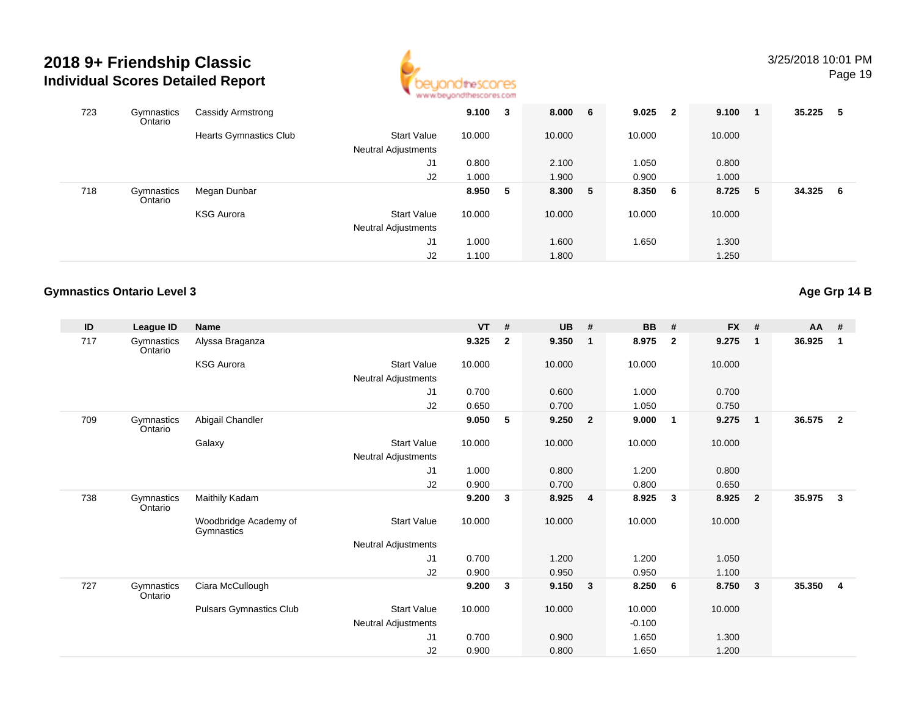

# 3/25/2018 10:01 PM

Page 19

| 723 | Gymnastics<br>Ontario | Cassidy Armstrong             |                                           | 9.100  | 3  | 8.000 6 | $9.025$ 2 |   | 9.100  |     | 35.225 | - 5 |
|-----|-----------------------|-------------------------------|-------------------------------------------|--------|----|---------|-----------|---|--------|-----|--------|-----|
|     |                       | <b>Hearts Gymnastics Club</b> | Start Value<br><b>Neutral Adjustments</b> | 10.000 |    | 10.000  | 10.000    |   | 10.000 |     |        |     |
|     |                       |                               | J1                                        | 0.800  |    | 2.100   | 1.050     |   | 0.800  |     |        |     |
|     |                       |                               | J2                                        | 1.000  |    | 1.900   | 0.900     |   | 1.000  |     |        |     |
| 718 | Gymnastics<br>Ontario | Megan Dunbar                  |                                           | 8.950  | -5 | 8.300 5 | 8.350     | 6 | 8.725  | - 5 | 34.325 | - 6 |
|     |                       | <b>KSG Aurora</b>             | <b>Start Value</b>                        | 10.000 |    | 10.000  | 10.000    |   | 10.000 |     |        |     |
|     |                       |                               | <b>Neutral Adjustments</b>                |        |    |         |           |   |        |     |        |     |
|     |                       |                               | J1                                        | 1.000  |    | 1.600   | 1.650     |   | 1.300  |     |        |     |
|     |                       |                               | J2                                        | 1.100  |    | 1.800   |           |   | 1.250  |     |        |     |

#### **Gymnastics Ontario Level 3**

**Age Grp 14 B**

| ID  | League ID             | <b>Name</b>                         |                     | <b>VT</b> | #            | <b>UB</b> | #                       | <b>BB</b> | #              | <b>FX</b> | #              | $AA$ # |                         |
|-----|-----------------------|-------------------------------------|---------------------|-----------|--------------|-----------|-------------------------|-----------|----------------|-----------|----------------|--------|-------------------------|
| 717 | Gymnastics<br>Ontario | Alyssa Braganza                     |                     | 9.325     | $\mathbf{2}$ | 9.350     | $\overline{\mathbf{1}}$ | 8.975     | $\overline{2}$ | 9.275     | $\mathbf{1}$   | 36.925 | $\mathbf 1$             |
|     |                       | <b>KSG Aurora</b>                   | <b>Start Value</b>  | 10.000    |              | 10.000    |                         | 10.000    |                | 10.000    |                |        |                         |
|     |                       |                                     | Neutral Adjustments |           |              |           |                         |           |                |           |                |        |                         |
|     |                       |                                     | J1                  | 0.700     |              | 0.600     |                         | 1.000     |                | 0.700     |                |        |                         |
|     |                       |                                     | J2                  | 0.650     |              | 0.700     |                         | 1.050     |                | 0.750     |                |        |                         |
| 709 | Gymnastics<br>Ontario | Abigail Chandler                    |                     | 9.050     | 5            | 9.250     | $\overline{\mathbf{2}}$ | 9.000     | $\overline{1}$ | 9.275     | $\mathbf{1}$   | 36.575 | $\overline{2}$          |
|     |                       | Galaxy                              | <b>Start Value</b>  | 10.000    |              | 10.000    |                         | 10.000    |                | 10.000    |                |        |                         |
|     |                       |                                     | Neutral Adjustments |           |              |           |                         |           |                |           |                |        |                         |
|     |                       |                                     | J1                  | 1.000     |              | 0.800     |                         | 1.200     |                | 0.800     |                |        |                         |
|     |                       |                                     | J2                  | 0.900     |              | 0.700     |                         | 0.800     |                | 0.650     |                |        |                         |
| 738 | Gymnastics<br>Ontario | Maithily Kadam                      |                     | 9.200     | 3            | 8.925     | $\overline{4}$          | 8.925     | 3              | 8.925     | $\overline{2}$ | 35.975 | $\overline{\mathbf{3}}$ |
|     |                       | Woodbridge Academy of<br>Gymnastics | <b>Start Value</b>  | 10.000    |              | 10.000    |                         | 10.000    |                | 10.000    |                |        |                         |
|     |                       |                                     | Neutral Adjustments |           |              |           |                         |           |                |           |                |        |                         |
|     |                       |                                     | J1                  | 0.700     |              | 1.200     |                         | 1.200     |                | 1.050     |                |        |                         |
|     |                       |                                     | J2                  | 0.900     |              | 0.950     |                         | 0.950     |                | 1.100     |                |        |                         |
| 727 | Gymnastics<br>Ontario | Ciara McCullough                    |                     | 9.200     | 3            | 9.150     | $\overline{\mathbf{3}}$ | 8.250     | - 6            | 8.750     | 3              | 35.350 | $\overline{4}$          |
|     |                       | <b>Pulsars Gymnastics Club</b>      | Start Value         | 10.000    |              | 10.000    |                         | 10.000    |                | 10.000    |                |        |                         |
|     |                       |                                     | Neutral Adjustments |           |              |           |                         | $-0.100$  |                |           |                |        |                         |
|     |                       |                                     | J1                  | 0.700     |              | 0.900     |                         | 1.650     |                | 1.300     |                |        |                         |
|     |                       |                                     | J2                  | 0.900     |              | 0.800     |                         | 1.650     |                | 1.200     |                |        |                         |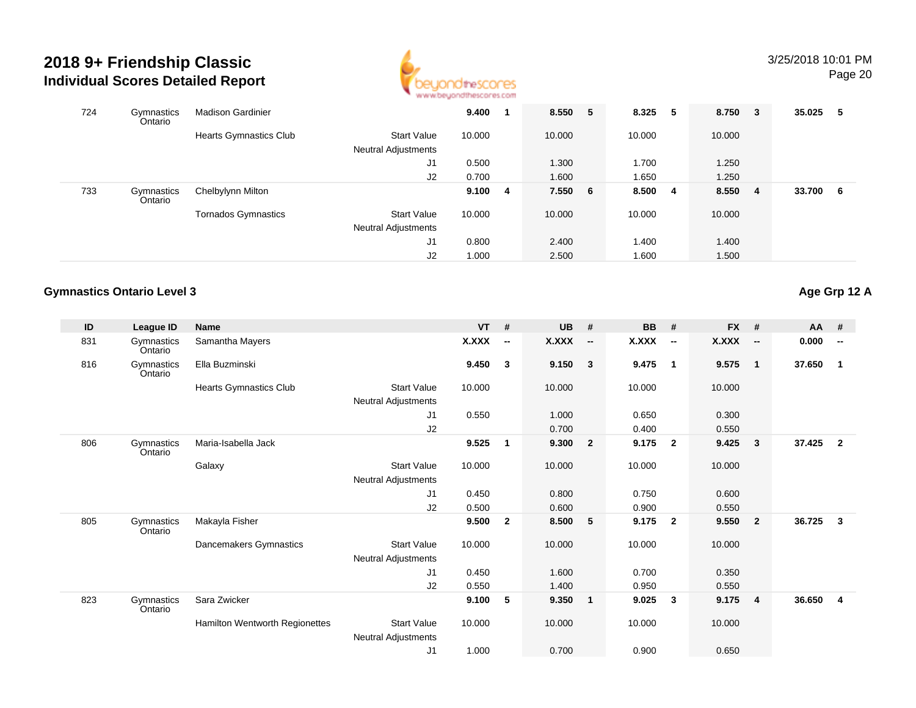

#### 3/25/2018 10:01 PMPage 20

| 724 | Gymnastics<br>Ontario | <b>Madison Gardinier</b>      |                                                  | 9.400  |    | 8.550   | 5 | 8.325  | 5   | 8.750  | $\overline{\mathbf{3}}$ | 35.025 | -5  |
|-----|-----------------------|-------------------------------|--------------------------------------------------|--------|----|---------|---|--------|-----|--------|-------------------------|--------|-----|
|     |                       | <b>Hearts Gymnastics Club</b> | <b>Start Value</b><br><b>Neutral Adjustments</b> | 10.000 |    | 10.000  |   | 10.000 |     | 10.000 |                         |        |     |
|     |                       |                               | J1                                               | 0.500  |    | 1.300   |   | 1.700  |     | 1.250  |                         |        |     |
|     |                       |                               | J2                                               | 0.700  |    | 1.600   |   | 1.650  |     | 1.250  |                         |        |     |
| 733 | Gymnastics<br>Ontario | Chelbylynn Milton             |                                                  | 9.100  | -4 | 7.550 6 |   | 8.500  | - 4 | 8.550  | - 4                     | 33.700 | - 6 |
|     |                       | <b>Tornados Gymnastics</b>    | <b>Start Value</b>                               | 10.000 |    | 10.000  |   | 10.000 |     | 10.000 |                         |        |     |
|     |                       |                               | <b>Neutral Adjustments</b>                       |        |    |         |   |        |     |        |                         |        |     |
|     |                       |                               | J1                                               | 0.800  |    | 2.400   |   | 1.400  |     | 1.400  |                         |        |     |
|     |                       |                               | J <sub>2</sub>                                   | 1.000  |    | 2.500   |   | 1.600  |     | 1.500  |                         |        |     |

#### **Gymnastics Ontario Level 3**

| ID  | League ID             | <b>Name</b>                    |                                           | $VT$ #       |                          | <b>UB</b>    | #                        | <b>BB</b> | #                        | FX #         |                          | AA #   |                          |
|-----|-----------------------|--------------------------------|-------------------------------------------|--------------|--------------------------|--------------|--------------------------|-----------|--------------------------|--------------|--------------------------|--------|--------------------------|
| 831 | Gymnastics<br>Ontario | Samantha Mayers                |                                           | <b>X.XXX</b> | $\overline{\phantom{a}}$ | <b>X.XXX</b> | $\overline{\phantom{a}}$ | X.XXX     | $\overline{\phantom{a}}$ | <b>X.XXX</b> | $\overline{\phantom{a}}$ | 0.000  | $\overline{\phantom{a}}$ |
| 816 | Gymnastics<br>Ontario | Ella Buzminski                 |                                           | 9.450        | $\mathbf{3}$             | 9.150        | $\overline{\mathbf{3}}$  | 9.475     | $\overline{1}$           | 9.575        | $\mathbf{1}$             | 37.650 | $\mathbf{1}$             |
|     |                       | <b>Hearts Gymnastics Club</b>  | <b>Start Value</b>                        | 10.000       |                          | 10.000       |                          | 10.000    |                          | 10.000       |                          |        |                          |
|     |                       |                                | Neutral Adjustments                       |              |                          |              |                          |           |                          |              |                          |        |                          |
|     |                       |                                | J1                                        | 0.550        |                          | 1.000        |                          | 0.650     |                          | 0.300        |                          |        |                          |
|     |                       |                                | J2                                        |              |                          | 0.700        |                          | 0.400     |                          | 0.550        |                          |        |                          |
| 806 | Gymnastics<br>Ontario | Maria-Isabella Jack            |                                           | 9.525        | $\overline{\mathbf{1}}$  | 9.300        | $\overline{\mathbf{2}}$  | 9.175     | $\overline{2}$           | 9.425        | 3                        | 37.425 | $\overline{2}$           |
|     |                       | Galaxy                         | <b>Start Value</b>                        | 10.000       |                          | 10.000       |                          | 10.000    |                          | 10.000       |                          |        |                          |
|     |                       |                                | Neutral Adjustments                       |              |                          |              |                          |           |                          |              |                          |        |                          |
|     |                       |                                | J <sub>1</sub>                            | 0.450        |                          | 0.800        |                          | 0.750     |                          | 0.600        |                          |        |                          |
|     |                       |                                | J2                                        | 0.500        |                          | 0.600        |                          | 0.900     |                          | 0.550        |                          |        |                          |
| 805 | Gymnastics<br>Ontario | Makayla Fisher                 |                                           | 9.500        | $\overline{2}$           | 8.500        | $-5$                     | 9.175     | $\overline{2}$           | 9.550        | $\mathbf{2}$             | 36.725 | $\mathbf{3}$             |
|     |                       | Dancemakers Gymnastics         | <b>Start Value</b>                        | 10.000       |                          | 10.000       |                          | 10.000    |                          | 10.000       |                          |        |                          |
|     |                       |                                | Neutral Adjustments                       |              |                          |              |                          |           |                          |              |                          |        |                          |
|     |                       |                                | J <sub>1</sub>                            | 0.450        |                          | 1.600        |                          | 0.700     |                          | 0.350        |                          |        |                          |
|     |                       |                                | J2                                        | 0.550        |                          | 1.400        |                          | 0.950     |                          | 0.550        |                          |        |                          |
| 823 | Gymnastics<br>Ontario | Sara Zwicker                   |                                           | 9.100        | 5                        | 9.350        | $\overline{\mathbf{1}}$  | 9.025     | 3                        | 9.175        | 4                        | 36.650 | $\overline{4}$           |
|     |                       | Hamilton Wentworth Regionettes | <b>Start Value</b><br>Neutral Adjustments | 10.000       |                          | 10.000       |                          | 10.000    |                          | 10.000       |                          |        |                          |
|     |                       |                                | J1                                        | 1.000        |                          | 0.700        |                          | 0.900     |                          | 0.650        |                          |        |                          |
|     |                       |                                |                                           |              |                          |              |                          |           |                          |              |                          |        |                          |

**Age Grp 12 A**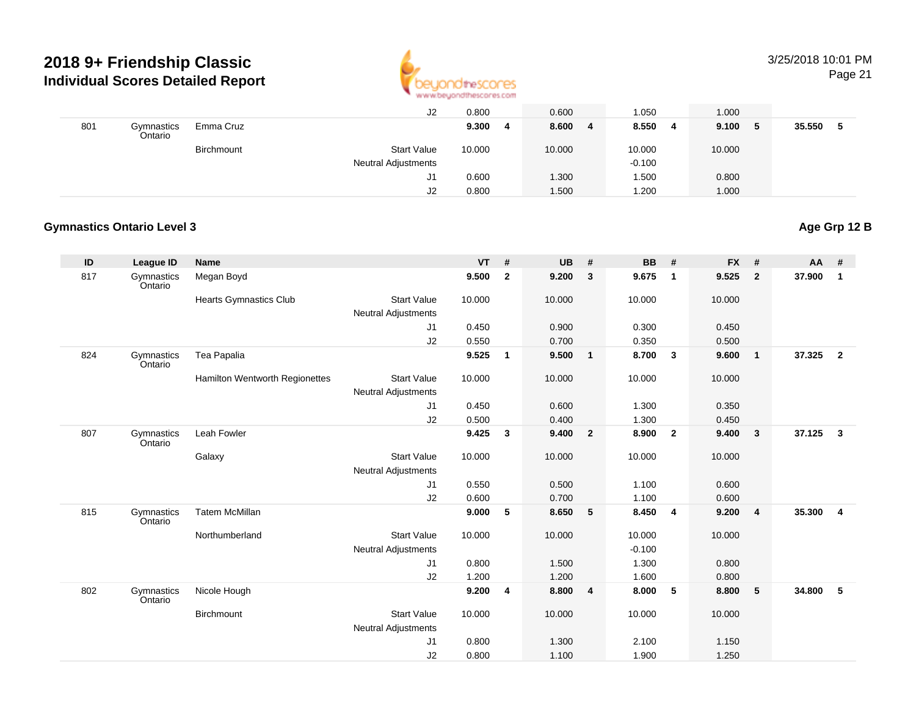

#### 3/25/2018 10:01 PMPage 21

|     |                       |            | J2                         | 0.800  | 0.600      | 1.050      | 1.000       |     |        |  |
|-----|-----------------------|------------|----------------------------|--------|------------|------------|-------------|-----|--------|--|
| 801 | Gymnastics<br>Ontario | Emma Cruz  |                            | 9.300  | 8.600<br>4 | 8.550<br>4 | 9.100<br>-4 | - 5 | 35.550 |  |
|     |                       | Birchmount | <b>Start Value</b>         | 10.000 | 10.000     | 10.000     | 10.000      |     |        |  |
|     |                       |            | <b>Neutral Adjustments</b> |        |            | $-0.100$   |             |     |        |  |
|     |                       |            | J1                         | 0.600  | 1.300      | .500       | 0.800       |     |        |  |
|     |                       |            | J2                         | 0.800  | 1.500      | .200       | 1.000       |     |        |  |

#### **Gymnastics Ontario Level 3**

### **Age Grp 12 B**

| ID  | <b>League ID</b>      | <b>Name</b>                           |                            | <b>VT</b> | #            | <b>UB</b> | #                       | <b>BB</b> | #                       | <b>FX</b> | #              | AA     | #              |
|-----|-----------------------|---------------------------------------|----------------------------|-----------|--------------|-----------|-------------------------|-----------|-------------------------|-----------|----------------|--------|----------------|
| 817 | Gymnastics<br>Ontario | Megan Boyd                            |                            | 9.500     | $\mathbf{2}$ | 9.200     | $\mathbf{3}$            | 9.675     | $\overline{1}$          | 9.525     | $\overline{2}$ | 37.900 | $\mathbf{1}$   |
|     |                       | <b>Hearts Gymnastics Club</b>         | <b>Start Value</b>         | 10.000    |              | 10.000    |                         | 10.000    |                         | 10.000    |                |        |                |
|     |                       |                                       | <b>Neutral Adjustments</b> |           |              |           |                         |           |                         |           |                |        |                |
|     |                       |                                       | J1                         | 0.450     |              | 0.900     |                         | 0.300     |                         | 0.450     |                |        |                |
|     |                       |                                       | J2                         | 0.550     |              | 0.700     |                         | 0.350     |                         | 0.500     |                |        |                |
| 824 | Gymnastics<br>Ontario | Tea Papalia                           |                            | 9.525     | $\mathbf{1}$ | 9.500     | $\overline{1}$          | 8.700     | $\overline{\mathbf{3}}$ | 9.600     | $\mathbf{1}$   | 37.325 | $\overline{2}$ |
|     |                       | <b>Hamilton Wentworth Regionettes</b> | <b>Start Value</b>         | 10.000    |              | 10.000    |                         | 10.000    |                         | 10.000    |                |        |                |
|     |                       |                                       | <b>Neutral Adjustments</b> |           |              |           |                         |           |                         |           |                |        |                |
|     |                       |                                       | J1                         | 0.450     |              | 0.600     |                         | 1.300     |                         | 0.350     |                |        |                |
|     |                       |                                       | J2                         | 0.500     |              | 0.400     |                         | 1.300     |                         | 0.450     |                |        |                |
| 807 | Gymnastics<br>Ontario | Leah Fowler                           |                            | 9.425     | 3            | 9.400     | $\overline{\mathbf{2}}$ | 8.900     | $\overline{\mathbf{2}}$ | 9.400     | $\mathbf{3}$   | 37.125 | $\mathbf{3}$   |
|     |                       | Galaxy                                | <b>Start Value</b>         | 10.000    |              | 10.000    |                         | 10.000    |                         | 10.000    |                |        |                |
|     |                       |                                       | <b>Neutral Adjustments</b> |           |              |           |                         |           |                         |           |                |        |                |
|     |                       |                                       | J1                         | 0.550     |              | 0.500     |                         | 1.100     |                         | 0.600     |                |        |                |
|     |                       |                                       | J2                         | 0.600     |              | 0.700     |                         | 1.100     |                         | 0.600     |                |        |                |
| 815 | Gymnastics<br>Ontario | <b>Tatem McMillan</b>                 |                            | 9.000     | 5            | 8.650     | $-5$                    | 8.450     | $\overline{4}$          | 9.200     | $\overline{4}$ | 35.300 | 4              |
|     |                       | Northumberland                        | <b>Start Value</b>         | 10.000    |              | 10.000    |                         | 10.000    |                         | 10.000    |                |        |                |
|     |                       |                                       | <b>Neutral Adjustments</b> |           |              |           |                         | $-0.100$  |                         |           |                |        |                |
|     |                       |                                       | J1                         | 0.800     |              | 1.500     |                         | 1.300     |                         | 0.800     |                |        |                |
|     |                       |                                       | J2                         | 1.200     |              | 1.200     |                         | 1.600     |                         | 0.800     |                |        |                |
| 802 | Gymnastics<br>Ontario | Nicole Hough                          |                            | 9.200     | 4            | 8.800     | $\overline{\mathbf{4}}$ | 8.000     | 5                       | 8.800     | 5              | 34.800 | 5              |
|     |                       | Birchmount                            | <b>Start Value</b>         | 10.000    |              | 10.000    |                         | 10.000    |                         | 10.000    |                |        |                |
|     |                       |                                       | <b>Neutral Adjustments</b> |           |              |           |                         |           |                         |           |                |        |                |
|     |                       |                                       | J1                         | 0.800     |              | 1.300     |                         | 2.100     |                         | 1.150     |                |        |                |
|     |                       |                                       | J2                         | 0.800     |              | 1.100     |                         | 1.900     |                         | 1.250     |                |        |                |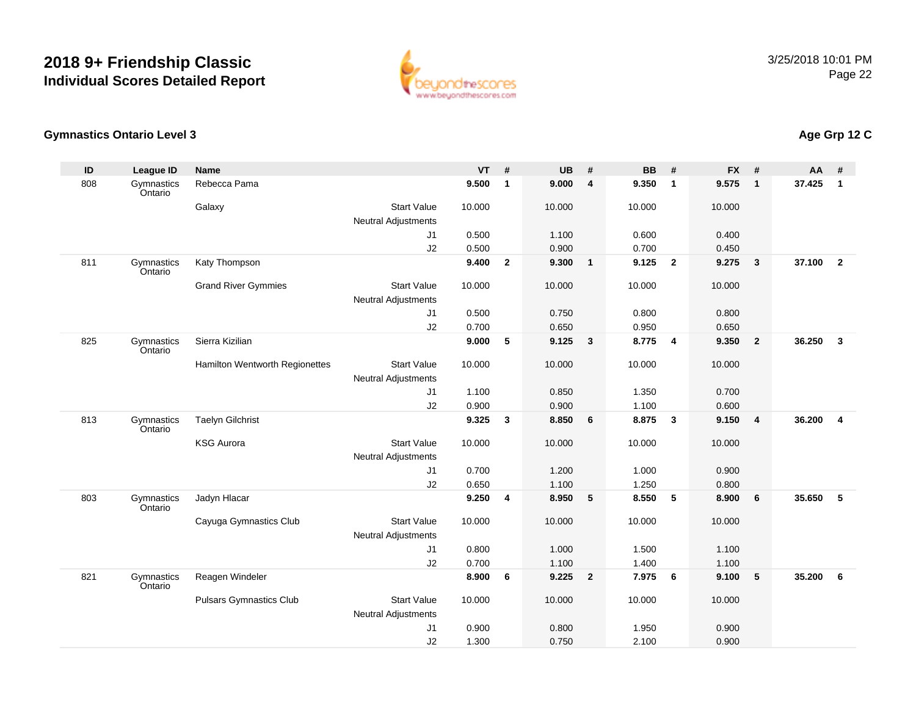

#### **Gymnastics Ontario Level 3**

| ID  | <b>League ID</b>      | <b>Name</b>                    |                            | <b>VT</b> | $\overline{t}$ | <b>UB</b> | #                       | <b>BB</b> | #                       | <b>FX</b> | #              | <b>AA</b> | #                       |
|-----|-----------------------|--------------------------------|----------------------------|-----------|----------------|-----------|-------------------------|-----------|-------------------------|-----------|----------------|-----------|-------------------------|
| 808 | Gymnastics<br>Ontario | Rebecca Pama                   |                            | 9.500     | $\mathbf{1}$   | 9.000     | 4                       | 9.350     | $\overline{1}$          | 9.575     | $\mathbf{1}$   | 37.425    | $\mathbf{1}$            |
|     |                       | Galaxy                         | <b>Start Value</b>         | 10.000    |                | 10.000    |                         | 10.000    |                         | 10.000    |                |           |                         |
|     |                       |                                | <b>Neutral Adjustments</b> |           |                |           |                         |           |                         |           |                |           |                         |
|     |                       |                                | J1                         | 0.500     |                | 1.100     |                         | 0.600     |                         | 0.400     |                |           |                         |
|     |                       |                                | J2                         | 0.500     |                | 0.900     |                         | 0.700     |                         | 0.450     |                |           |                         |
| 811 | Gymnastics<br>Ontario | Katy Thompson                  |                            | 9.400     | $\overline{2}$ | 9.300     | $\mathbf{1}$            | 9.125     | $\overline{\mathbf{2}}$ | 9.275     | $\mathbf{3}$   | 37.100    | $\overline{\mathbf{2}}$ |
|     |                       | <b>Grand River Gymmies</b>     | <b>Start Value</b>         | 10.000    |                | 10.000    |                         | 10.000    |                         | 10.000    |                |           |                         |
|     |                       |                                | Neutral Adjustments        |           |                |           |                         |           |                         |           |                |           |                         |
|     |                       |                                | J1                         | 0.500     |                | 0.750     |                         | 0.800     |                         | 0.800     |                |           |                         |
|     |                       |                                | J2                         | 0.700     |                | 0.650     |                         | 0.950     |                         | 0.650     |                |           |                         |
| 825 | Gymnastics<br>Ontario | Sierra Kizilian                |                            | 9.000     | 5              | 9.125     | $\mathbf{3}$            | 8.775     | $\overline{4}$          | 9.350     | $\overline{2}$ | 36.250    | $\mathbf{3}$            |
|     |                       | Hamilton Wentworth Regionettes | <b>Start Value</b>         | 10.000    |                | 10.000    |                         | 10.000    |                         | 10.000    |                |           |                         |
|     |                       |                                | <b>Neutral Adjustments</b> |           |                |           |                         |           |                         |           |                |           |                         |
|     |                       |                                | J1                         | 1.100     |                | 0.850     |                         | 1.350     |                         | 0.700     |                |           |                         |
|     |                       |                                | J2                         | 0.900     |                | 0.900     |                         | 1.100     |                         | 0.600     |                |           |                         |
| 813 | Gymnastics<br>Ontario | <b>Taelyn Gilchrist</b>        |                            | 9.325     | 3              | 8.850     | 6                       | 8.875     | $\mathbf{3}$            | 9.150     | $\overline{4}$ | 36.200    | 4                       |
|     |                       | <b>KSG Aurora</b>              | <b>Start Value</b>         | 10.000    |                | 10.000    |                         | 10.000    |                         | 10.000    |                |           |                         |
|     |                       |                                | <b>Neutral Adjustments</b> |           |                |           |                         |           |                         |           |                |           |                         |
|     |                       |                                | J1                         | 0.700     |                | 1.200     |                         | 1.000     |                         | 0.900     |                |           |                         |
|     |                       |                                | J2                         | 0.650     |                | 1.100     |                         | 1.250     |                         | 0.800     |                |           |                         |
| 803 | Gymnastics<br>Ontario | Jadyn Hlacar                   |                            | 9.250     | 4              | 8.950     | 5                       | 8.550     | 5                       | 8.900     | 6              | 35.650    | 5                       |
|     |                       | Cayuga Gymnastics Club         | <b>Start Value</b>         | 10.000    |                | 10.000    |                         | 10.000    |                         | 10.000    |                |           |                         |
|     |                       |                                | <b>Neutral Adjustments</b> |           |                |           |                         |           |                         |           |                |           |                         |
|     |                       |                                | J1                         | 0.800     |                | 1.000     |                         | 1.500     |                         | 1.100     |                |           |                         |
|     |                       |                                | J2                         | 0.700     |                | 1.100     |                         | 1.400     |                         | 1.100     |                |           |                         |
| 821 | Gymnastics<br>Ontario | Reagen Windeler                |                            | 8.900     | 6              | 9.225     | $\overline{\mathbf{2}}$ | 7.975     | 6                       | 9.100     | 5              | 35.200    | 6                       |
|     |                       | <b>Pulsars Gymnastics Club</b> | <b>Start Value</b>         | 10.000    |                | 10.000    |                         | 10.000    |                         | 10.000    |                |           |                         |
|     |                       |                                | <b>Neutral Adjustments</b> |           |                |           |                         |           |                         |           |                |           |                         |
|     |                       |                                | J1                         | 0.900     |                | 0.800     |                         | 1.950     |                         | 0.900     |                |           |                         |
|     |                       |                                | J2                         | 1.300     |                | 0.750     |                         | 2.100     |                         | 0.900     |                |           |                         |

## **Age Grp 12 C**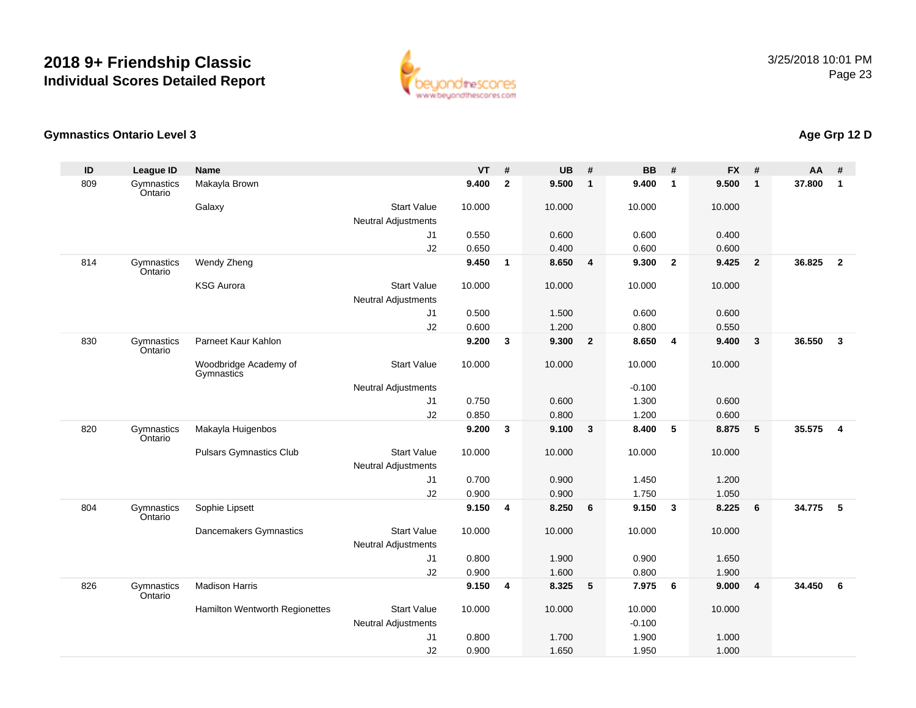

#### **Gymnastics Ontario Level 3**

| ID  | <b>League ID</b>      | <b>Name</b>                         |                            | <b>VT</b> | #                       | <b>UB</b> | #                       | <b>BB</b> | #                       | <b>FX</b> | #              | <b>AA</b> | #              |
|-----|-----------------------|-------------------------------------|----------------------------|-----------|-------------------------|-----------|-------------------------|-----------|-------------------------|-----------|----------------|-----------|----------------|
| 809 | Gymnastics<br>Ontario | Makayla Brown                       |                            | 9.400     | $\overline{\mathbf{2}}$ | 9.500     | $\overline{1}$          | 9.400     | $\overline{1}$          | 9.500     | $\mathbf{1}$   | 37.800    | $\mathbf 1$    |
|     |                       | Galaxy                              | <b>Start Value</b>         | 10.000    |                         | 10.000    |                         | 10.000    |                         | 10.000    |                |           |                |
|     |                       |                                     | <b>Neutral Adjustments</b> |           |                         |           |                         |           |                         |           |                |           |                |
|     |                       |                                     | J1                         | 0.550     |                         | 0.600     |                         | 0.600     |                         | 0.400     |                |           |                |
|     |                       |                                     | J2                         | 0.650     |                         | 0.400     |                         | 0.600     |                         | 0.600     |                |           |                |
| 814 | Gymnastics<br>Ontario | Wendy Zheng                         |                            | 9.450     | $\mathbf{1}$            | 8.650     | $\overline{\mathbf{4}}$ | 9.300     | $\overline{\mathbf{2}}$ | 9.425     | $\overline{2}$ | 36.825    | $\overline{2}$ |
|     |                       | <b>KSG Aurora</b>                   | <b>Start Value</b>         | 10.000    |                         | 10.000    |                         | 10.000    |                         | 10.000    |                |           |                |
|     |                       |                                     | <b>Neutral Adjustments</b> |           |                         |           |                         |           |                         |           |                |           |                |
|     |                       |                                     | J1                         | 0.500     |                         | 1.500     |                         | 0.600     |                         | 0.600     |                |           |                |
|     |                       |                                     | J2                         | 0.600     |                         | 1.200     |                         | 0.800     |                         | 0.550     |                |           |                |
| 830 | Gymnastics<br>Ontario | Parneet Kaur Kahlon                 |                            | 9.200     | $\mathbf{3}$            | 9.300     | $\overline{\mathbf{2}}$ | 8.650     | $\overline{4}$          | 9.400     | $\mathbf{3}$   | 36.550    | $\mathbf{3}$   |
|     |                       | Woodbridge Academy of<br>Gymnastics | <b>Start Value</b>         | 10.000    |                         | 10.000    |                         | 10.000    |                         | 10.000    |                |           |                |
|     |                       |                                     | <b>Neutral Adjustments</b> |           |                         |           |                         | $-0.100$  |                         |           |                |           |                |
|     |                       |                                     | J1                         | 0.750     |                         | 0.600     |                         | 1.300     |                         | 0.600     |                |           |                |
|     |                       |                                     | J2                         | 0.850     |                         | 0.800     |                         | 1.200     |                         | 0.600     |                |           |                |
| 820 | Gymnastics<br>Ontario | Makayla Huigenbos                   |                            | 9.200     | 3                       | 9.100     | $\mathbf{3}$            | 8.400     | 5                       | 8.875     | 5              | 35.575    | $\overline{4}$ |
|     |                       | <b>Pulsars Gymnastics Club</b>      | <b>Start Value</b>         | 10.000    |                         | 10.000    |                         | 10.000    |                         | 10.000    |                |           |                |
|     |                       |                                     | <b>Neutral Adjustments</b> |           |                         |           |                         |           |                         |           |                |           |                |
|     |                       |                                     | J1                         | 0.700     |                         | 0.900     |                         | 1.450     |                         | 1.200     |                |           |                |
|     |                       |                                     | J2                         | 0.900     |                         | 0.900     |                         | 1.750     |                         | 1.050     |                |           |                |
| 804 | Gymnastics<br>Ontario | Sophie Lipsett                      |                            | 9.150     | 4                       | 8.250     | 6                       | 9.150     | $\mathbf{3}$            | 8.225     | 6              | 34.775    | 5              |
|     |                       | Dancemakers Gymnastics              | <b>Start Value</b>         | 10.000    |                         | 10.000    |                         | 10.000    |                         | 10.000    |                |           |                |
|     |                       |                                     | <b>Neutral Adjustments</b> |           |                         |           |                         |           |                         |           |                |           |                |
|     |                       |                                     | J1                         | 0.800     |                         | 1.900     |                         | 0.900     |                         | 1.650     |                |           |                |
|     |                       |                                     | J2                         | 0.900     |                         | 1.600     |                         | 0.800     |                         | 1.900     |                |           |                |
| 826 | Gymnastics<br>Ontario | <b>Madison Harris</b>               |                            | 9.150     | 4                       | 8.325     | 5                       | 7.975     | 6                       | 9.000     | $\overline{4}$ | 34.450    | 6              |
|     |                       | Hamilton Wentworth Regionettes      | <b>Start Value</b>         | 10.000    |                         | 10.000    |                         | 10.000    |                         | 10.000    |                |           |                |
|     |                       |                                     | <b>Neutral Adjustments</b> |           |                         |           |                         | $-0.100$  |                         |           |                |           |                |
|     |                       |                                     | J1                         | 0.800     |                         | 1.700     |                         | 1.900     |                         | 1.000     |                |           |                |
|     |                       |                                     | J2                         | 0.900     |                         | 1.650     |                         | 1.950     |                         | 1.000     |                |           |                |

## **Age Grp 12 D**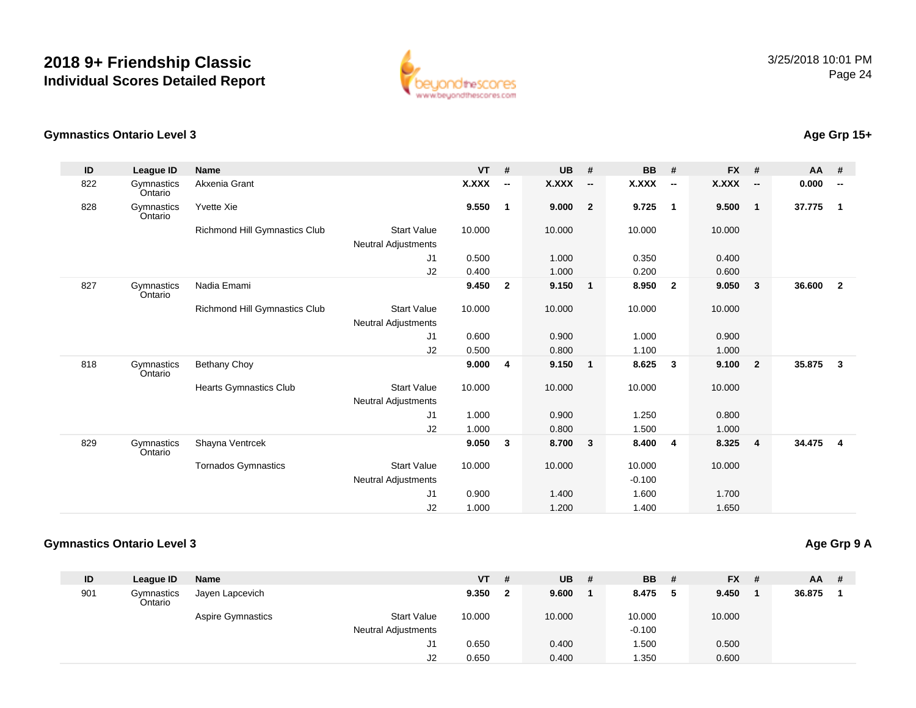

#### **Gymnastics Ontario Level 3**

| ID  | League ID             | <b>Name</b>                   |                            | <b>VT</b>    | #                        | <b>UB</b>    | #                        | <b>BB</b>    | #                        | <b>FX</b>    | #                        | <b>AA</b> | #                        |
|-----|-----------------------|-------------------------------|----------------------------|--------------|--------------------------|--------------|--------------------------|--------------|--------------------------|--------------|--------------------------|-----------|--------------------------|
| 822 | Gymnastics<br>Ontario | Akxenia Grant                 |                            | <b>X.XXX</b> | $\overline{\phantom{a}}$ | <b>X.XXX</b> | $\overline{\phantom{a}}$ | <b>X.XXX</b> | $\overline{\phantom{a}}$ | <b>X.XXX</b> | $\overline{\phantom{a}}$ | 0.000     | $\overline{\phantom{a}}$ |
| 828 | Gymnastics<br>Ontario | <b>Yvette Xie</b>             |                            | 9.550        | $\overline{1}$           | 9.000        | $\overline{\mathbf{2}}$  | 9.725        | $\overline{1}$           | 9.500        | $\mathbf{1}$             | 37.775    | $\mathbf{1}$             |
|     |                       | Richmond Hill Gymnastics Club | <b>Start Value</b>         | 10.000       |                          | 10.000       |                          | 10.000       |                          | 10.000       |                          |           |                          |
|     |                       |                               | Neutral Adjustments        |              |                          |              |                          |              |                          |              |                          |           |                          |
|     |                       |                               | J1                         | 0.500        |                          | 1.000        |                          | 0.350        |                          | 0.400        |                          |           |                          |
|     |                       |                               | J2                         | 0.400        |                          | 1.000        |                          | 0.200        |                          | 0.600        |                          |           |                          |
| 827 | Gymnastics<br>Ontario | Nadia Emami                   |                            | 9.450        | $\mathbf{2}$             | 9.150        | $\overline{\mathbf{1}}$  | 8.950        | $\overline{\mathbf{2}}$  | 9.050        | 3                        | 36.600    | $\overline{2}$           |
|     |                       | Richmond Hill Gymnastics Club | <b>Start Value</b>         | 10.000       |                          | 10.000       |                          | 10.000       |                          | 10.000       |                          |           |                          |
|     |                       |                               | <b>Neutral Adjustments</b> |              |                          |              |                          |              |                          |              |                          |           |                          |
|     |                       |                               | J1                         | 0.600        |                          | 0.900        |                          | 1.000        |                          | 0.900        |                          |           |                          |
|     |                       |                               | J2                         | 0.500        |                          | 0.800        |                          | 1.100        |                          | 1.000        |                          |           |                          |
| 818 | Gymnastics<br>Ontario | <b>Bethany Choy</b>           |                            | 9.000        | 4                        | 9.150        | $\overline{\mathbf{1}}$  | 8.625        | $\overline{\mathbf{3}}$  | 9.100        | $\overline{2}$           | 35.875    | $\mathbf{3}$             |
|     |                       | Hearts Gymnastics Club        | <b>Start Value</b>         | 10.000       |                          | 10.000       |                          | 10.000       |                          | 10.000       |                          |           |                          |
|     |                       |                               | <b>Neutral Adjustments</b> |              |                          |              |                          |              |                          |              |                          |           |                          |
|     |                       |                               | J1                         | 1.000        |                          | 0.900        |                          | 1.250        |                          | 0.800        |                          |           |                          |
|     |                       |                               | J2                         | 1.000        |                          | 0.800        |                          | 1.500        |                          | 1.000        |                          |           |                          |
| 829 | Gymnastics<br>Ontario | Shayna Ventrcek               |                            | 9.050        | 3                        | 8.700        | $\overline{\mathbf{3}}$  | 8.400        | $\overline{4}$           | 8.325        | 4                        | 34.475    | $\overline{4}$           |
|     |                       | <b>Tornados Gymnastics</b>    | <b>Start Value</b>         | 10.000       |                          | 10.000       |                          | 10.000       |                          | 10.000       |                          |           |                          |
|     |                       |                               | Neutral Adjustments        |              |                          |              |                          | $-0.100$     |                          |              |                          |           |                          |
|     |                       |                               | J1                         | 0.900        |                          | 1.400        |                          | 1.600        |                          | 1.700        |                          |           |                          |
|     |                       |                               | J2                         | 1.000        |                          | 1.200        |                          | 1.400        |                          | 1.650        |                          |           |                          |

#### **Gymnastics Ontario Level 3**

**Age Grp 9 A**

| ID  | League ID             | <b>Name</b>       |                            | VT     | # | <b>UB</b> | # | <b>BB</b> # |   | $FX$ # | <b>AA</b> | - # |
|-----|-----------------------|-------------------|----------------------------|--------|---|-----------|---|-------------|---|--------|-----------|-----|
| 901 | Gymnastics<br>Ontario | Jayen Lapcevich   |                            | 9.350  |   | 9.600     |   | 8.475       | 5 | 9.450  | 36.875    |     |
|     |                       | Aspire Gymnastics | <b>Start Value</b>         | 10.000 |   | 10.000    |   | 10.000      |   | 10.000 |           |     |
|     |                       |                   | <b>Neutral Adjustments</b> |        |   |           |   | $-0.100$    |   |        |           |     |
|     |                       |                   | J1                         | 0.650  |   | 0.400     |   | 1.500       |   | 0.500  |           |     |
|     |                       |                   | J <sub>2</sub>             | 0.650  |   | 0.400     |   | 350،،       |   | 0.600  |           |     |

### **Age Grp 15+**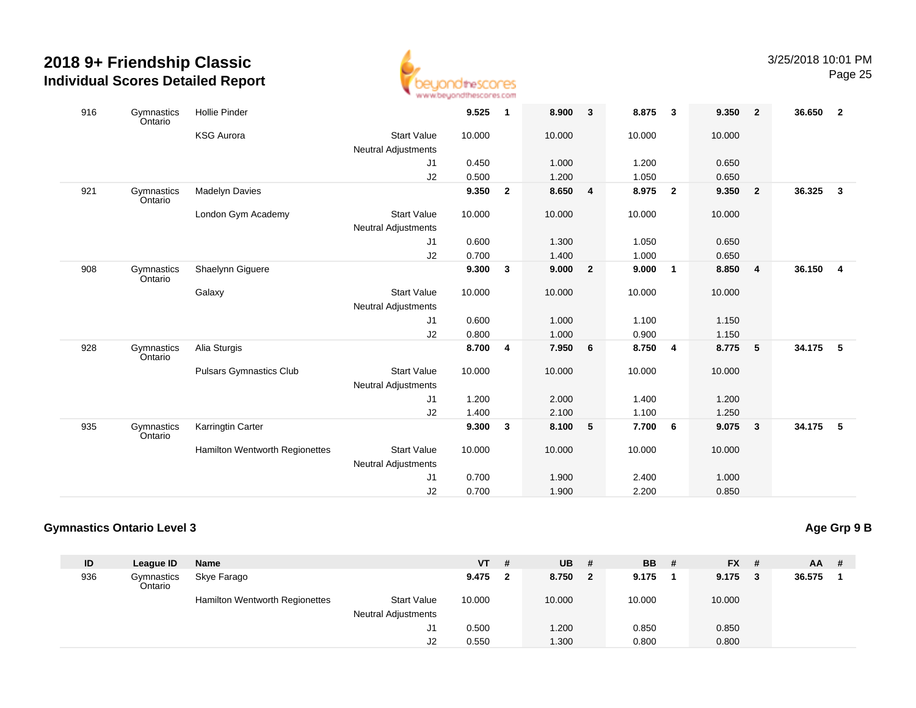

| 916 | Gymnastics<br>Ontario | <b>Hollie Pinder</b>           |                            | 9.525  | $\mathbf{1}$ | 8.900  | $\mathbf{3}$            | 8.875  | $\overline{\mathbf{3}}$ | 9.350  | - 2                     | 36.650 | $\overline{\mathbf{2}}$ |
|-----|-----------------------|--------------------------------|----------------------------|--------|--------------|--------|-------------------------|--------|-------------------------|--------|-------------------------|--------|-------------------------|
|     |                       | <b>KSG Aurora</b>              | <b>Start Value</b>         | 10.000 |              | 10.000 |                         | 10.000 |                         | 10.000 |                         |        |                         |
|     |                       |                                | <b>Neutral Adjustments</b> |        |              |        |                         |        |                         |        |                         |        |                         |
|     |                       |                                | J1                         | 0.450  |              | 1.000  |                         | 1.200  |                         | 0.650  |                         |        |                         |
|     |                       |                                | J2                         | 0.500  |              | 1.200  |                         | 1.050  |                         | 0.650  |                         |        |                         |
| 921 | Gymnastics<br>Ontario | <b>Madelyn Davies</b>          |                            | 9.350  | $\mathbf{2}$ | 8.650  | $\overline{\mathbf{4}}$ | 8.975  | $\overline{2}$          | 9.350  | $\overline{\mathbf{2}}$ | 36.325 | $\overline{3}$          |
|     |                       | London Gym Academy             | <b>Start Value</b>         | 10.000 |              | 10.000 |                         | 10.000 |                         | 10.000 |                         |        |                         |
|     |                       |                                | <b>Neutral Adjustments</b> |        |              |        |                         |        |                         |        |                         |        |                         |
|     |                       |                                | J1                         | 0.600  |              | 1.300  |                         | 1.050  |                         | 0.650  |                         |        |                         |
|     |                       |                                | J2                         | 0.700  |              | 1.400  |                         | 1.000  |                         | 0.650  |                         |        |                         |
| 908 | Gymnastics<br>Ontario | Shaelynn Giguere               |                            | 9.300  | $\mathbf{3}$ | 9.000  | $\overline{2}$          | 9.000  | $\overline{1}$          | 8.850  | $\overline{4}$          | 36.150 | $\overline{4}$          |
|     |                       | Galaxy                         | <b>Start Value</b>         | 10.000 |              | 10.000 |                         | 10.000 |                         | 10.000 |                         |        |                         |
|     |                       |                                | <b>Neutral Adjustments</b> |        |              |        |                         |        |                         |        |                         |        |                         |
|     |                       |                                | J1                         | 0.600  |              | 1.000  |                         | 1.100  |                         | 1.150  |                         |        |                         |
|     |                       |                                | J <sub>2</sub>             | 0.800  |              | 1.000  |                         | 0.900  |                         | 1.150  |                         |        |                         |
| 928 | Gymnastics<br>Ontario | Alia Sturgis                   |                            | 8.700  | 4            | 7.950  | 6                       | 8.750  | $\overline{\mathbf{4}}$ | 8.775  | 5                       | 34.175 | 5                       |
|     |                       | <b>Pulsars Gymnastics Club</b> | <b>Start Value</b>         | 10.000 |              | 10.000 |                         | 10.000 |                         | 10.000 |                         |        |                         |
|     |                       |                                | <b>Neutral Adjustments</b> |        |              |        |                         |        |                         |        |                         |        |                         |
|     |                       |                                | J1                         | 1.200  |              | 2.000  |                         | 1.400  |                         | 1.200  |                         |        |                         |
|     |                       |                                | J2                         | 1.400  |              | 2.100  |                         | 1.100  |                         | 1.250  |                         |        |                         |
| 935 | Gymnastics<br>Ontario | Karringtin Carter              |                            | 9.300  | 3            | 8.100  | 5                       | 7.700  | 6                       | 9.075  | - 3                     | 34.175 | 5                       |
|     |                       | Hamilton Wentworth Regionettes | <b>Start Value</b>         | 10.000 |              | 10.000 |                         | 10.000 |                         | 10.000 |                         |        |                         |
|     |                       |                                | <b>Neutral Adjustments</b> |        |              |        |                         |        |                         |        |                         |        |                         |
|     |                       |                                | J1                         | 0.700  |              | 1.900  |                         | 2.400  |                         | 1.000  |                         |        |                         |
|     |                       |                                | J2                         | 0.700  |              | 1.900  |                         | 2.200  |                         | 0.850  |                         |        |                         |

#### **Gymnastics Ontario Level 3**

**Age Grp 9 B**

| ID  | League ID             | Name                           |                            | VT     | # | <b>UB</b> | #            | <b>BB</b> | - # | <b>FX</b> | - # | <b>AA</b> | -# |
|-----|-----------------------|--------------------------------|----------------------------|--------|---|-----------|--------------|-----------|-----|-----------|-----|-----------|----|
| 936 | Gymnastics<br>Ontario | Skye Farago                    |                            | 9.475  |   | 8.750     | $\mathbf{2}$ | 9.175     |     | 9.175     | - 3 | 36.575    |    |
|     |                       | Hamilton Wentworth Regionettes | <b>Start Value</b>         | 10.000 |   | 10.000    |              | 10.000    |     | 10.000    |     |           |    |
|     |                       |                                | <b>Neutral Adjustments</b> |        |   |           |              |           |     |           |     |           |    |
|     |                       |                                | J1                         | 0.500  |   | 1.200     |              | 0.850     |     | 0.850     |     |           |    |
|     |                       |                                | J2                         | 0.550  |   | 1.300     |              | 0.800     |     | 0.800     |     |           |    |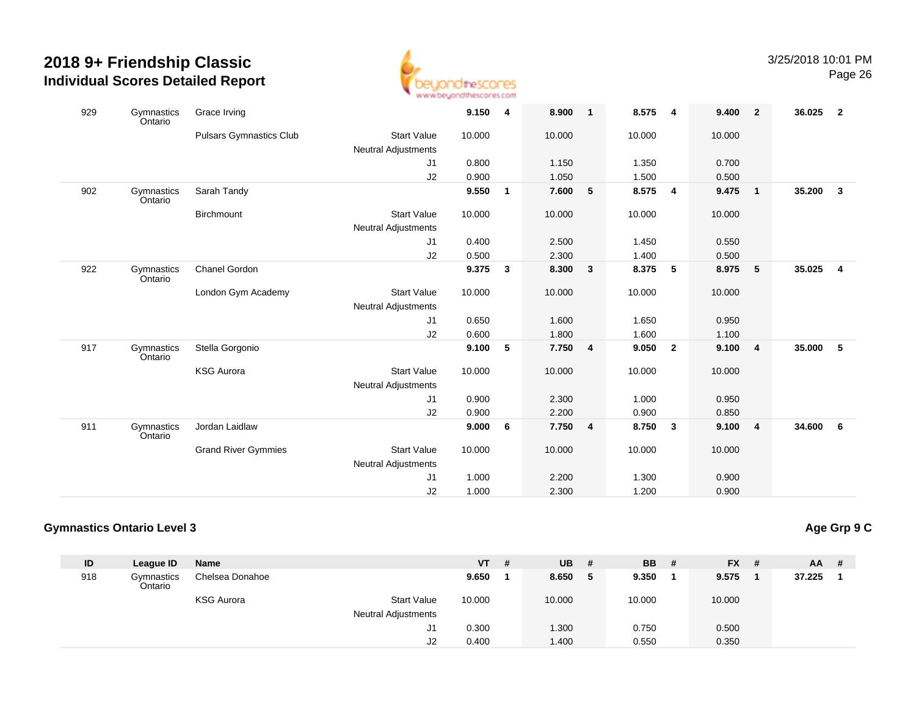

| 929 | Gymnastics            | Grace Irving                   |                            | 9.150  | 4            | 8.900  | $\overline{1}$          | 8.575  | $\overline{\mathbf{4}}$ | 9.400  | $\overline{\mathbf{2}}$ | 36.025 | $\overline{\mathbf{2}}$ |
|-----|-----------------------|--------------------------------|----------------------------|--------|--------------|--------|-------------------------|--------|-------------------------|--------|-------------------------|--------|-------------------------|
|     | Ontario               | <b>Pulsars Gymnastics Club</b> | <b>Start Value</b>         | 10.000 |              | 10.000 |                         | 10.000 |                         | 10.000 |                         |        |                         |
|     |                       |                                | Neutral Adjustments        |        |              |        |                         |        |                         |        |                         |        |                         |
|     |                       |                                | J1                         | 0.800  |              | 1.150  |                         | 1.350  |                         | 0.700  |                         |        |                         |
|     |                       |                                | J2                         | 0.900  |              | 1.050  |                         | 1.500  |                         | 0.500  |                         |        |                         |
| 902 | Gymnastics<br>Ontario | Sarah Tandy                    |                            | 9.550  | $\mathbf{1}$ | 7.600  | 5                       | 8.575  | $\overline{\mathbf{4}}$ | 9.475  | $\overline{\mathbf{1}}$ | 35.200 | $\mathbf{3}$            |
|     |                       | <b>Birchmount</b>              | <b>Start Value</b>         | 10.000 |              | 10.000 |                         | 10.000 |                         | 10.000 |                         |        |                         |
|     |                       |                                | <b>Neutral Adjustments</b> |        |              |        |                         |        |                         |        |                         |        |                         |
|     |                       |                                | J1                         | 0.400  |              | 2.500  |                         | 1.450  |                         | 0.550  |                         |        |                         |
|     |                       |                                | J2                         | 0.500  |              | 2.300  |                         | 1.400  |                         | 0.500  |                         |        |                         |
| 922 | Gymnastics<br>Ontario | Chanel Gordon                  |                            | 9.375  | 3            | 8.300  | $\overline{\mathbf{3}}$ | 8.375  | 5                       | 8.975  | $-5$                    | 35.025 | $\overline{4}$          |
|     |                       | London Gym Academy             | <b>Start Value</b>         | 10.000 |              | 10.000 |                         | 10.000 |                         | 10.000 |                         |        |                         |
|     |                       |                                | Neutral Adjustments        |        |              |        |                         |        |                         |        |                         |        |                         |
|     |                       |                                | J1                         | 0.650  |              | 1.600  |                         | 1.650  |                         | 0.950  |                         |        |                         |
|     |                       |                                | J <sub>2</sub>             | 0.600  |              | 1.800  |                         | 1.600  |                         | 1.100  |                         |        |                         |
| 917 | Gymnastics<br>Ontario | Stella Gorgonio                |                            | 9.100  | 5            | 7.750  | $\overline{\mathbf{4}}$ | 9.050  | $\mathbf{2}$            | 9.100  | $\overline{4}$          | 35.000 | 5                       |
|     |                       | <b>KSG Aurora</b>              | <b>Start Value</b>         | 10.000 |              | 10.000 |                         | 10.000 |                         | 10.000 |                         |        |                         |
|     |                       |                                | <b>Neutral Adjustments</b> |        |              |        |                         |        |                         |        |                         |        |                         |
|     |                       |                                | J1                         | 0.900  |              | 2.300  |                         | 1.000  |                         | 0.950  |                         |        |                         |
|     |                       |                                | J2                         | 0.900  |              | 2.200  |                         | 0.900  |                         | 0.850  |                         |        |                         |
| 911 | Gymnastics<br>Ontario | Jordan Laidlaw                 |                            | 9.000  | 6            | 7.750  | $\overline{\mathbf{4}}$ | 8.750  | $\mathbf{3}$            | 9.100  | $\overline{4}$          | 34.600 | 6                       |
|     |                       | <b>Grand River Gymmies</b>     | <b>Start Value</b>         | 10.000 |              | 10.000 |                         | 10.000 |                         | 10.000 |                         |        |                         |
|     |                       |                                | <b>Neutral Adjustments</b> |        |              |        |                         |        |                         |        |                         |        |                         |
|     |                       |                                | J1                         | 1.000  |              | 2.200  |                         | 1.300  |                         | 0.900  |                         |        |                         |
|     |                       |                                | J2                         | 1.000  |              | 2.300  |                         | 1.200  |                         | 0.900  |                         |        |                         |

#### **Gymnastics Ontario Level 3**

**Age Grp 9 C**

| ID  | League ID             | <b>Name</b>       |                            | VT     | # | <b>UB</b> | # | <b>BB</b> # | <b>FX</b> | - # | AA.    | -# |
|-----|-----------------------|-------------------|----------------------------|--------|---|-----------|---|-------------|-----------|-----|--------|----|
| 918 | Gymnastics<br>Ontario | Chelsea Donahoe   |                            | 9.650  |   | 8.650     | 5 | 9.350       | 9.575     |     | 37.225 |    |
|     |                       | <b>KSG Aurora</b> | <b>Start Value</b>         | 10.000 |   | 10.000    |   | 10.000      | 10.000    |     |        |    |
|     |                       |                   | <b>Neutral Adjustments</b> |        |   |           |   |             |           |     |        |    |
|     |                       |                   | J1                         | 0.300  |   | 1.300     |   | 0.750       | 0.500     |     |        |    |
|     |                       |                   | J2                         | 0.400  |   | 1.400     |   | 0.550       | 0.350     |     |        |    |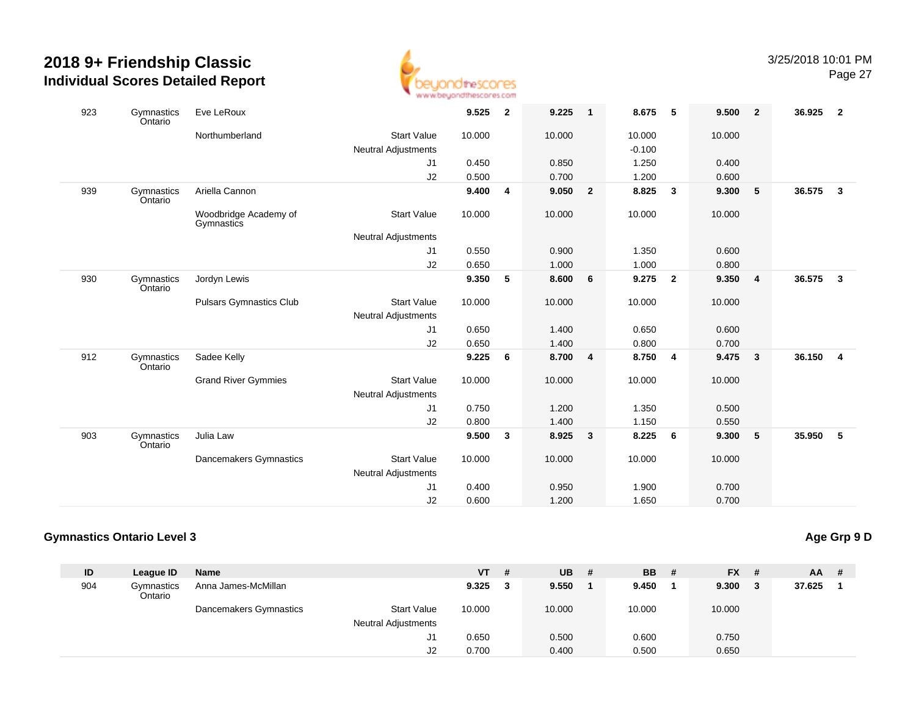

| 923 | Gymnastics<br>Ontario | Eve LeRoux                          |                                                  | 9.525  | $\overline{2}$ | 9.225  | $\overline{1}$ | 8.675    | 5                       | 9.500  | $\overline{\mathbf{2}}$ | 36.925 | $\overline{\mathbf{2}}$ |
|-----|-----------------------|-------------------------------------|--------------------------------------------------|--------|----------------|--------|----------------|----------|-------------------------|--------|-------------------------|--------|-------------------------|
|     |                       | Northumberland                      | <b>Start Value</b>                               | 10.000 |                | 10.000 |                | 10.000   |                         | 10.000 |                         |        |                         |
|     |                       |                                     | <b>Neutral Adjustments</b>                       |        |                |        |                | $-0.100$ |                         |        |                         |        |                         |
|     |                       |                                     | J1                                               | 0.450  |                | 0.850  |                | 1.250    |                         | 0.400  |                         |        |                         |
|     |                       |                                     | J2                                               | 0.500  |                | 0.700  |                | 1.200    |                         | 0.600  |                         |        |                         |
| 939 | Gymnastics<br>Ontario | Ariella Cannon                      |                                                  | 9.400  | $\overline{4}$ | 9.050  | $\overline{2}$ | 8.825    | 3                       | 9.300  | $5\phantom{1}$          | 36.575 | $\mathbf{3}$            |
|     |                       | Woodbridge Academy of<br>Gymnastics | Start Value                                      | 10.000 |                | 10.000 |                | 10.000   |                         | 10.000 |                         |        |                         |
|     |                       |                                     | <b>Neutral Adjustments</b>                       |        |                |        |                |          |                         |        |                         |        |                         |
|     |                       |                                     | J1                                               | 0.550  |                | 0.900  |                | 1.350    |                         | 0.600  |                         |        |                         |
|     |                       |                                     | J2                                               | 0.650  |                | 1.000  |                | 1.000    |                         | 0.800  |                         |        |                         |
| 930 | Gymnastics<br>Ontario | Jordyn Lewis                        |                                                  | 9.350  | 5              | 8.600  | 6              | 9.275    | $\overline{2}$          | 9.350  | $\overline{4}$          | 36.575 | $\mathbf{3}$            |
|     |                       | <b>Pulsars Gymnastics Club</b>      | <b>Start Value</b>                               | 10.000 |                | 10.000 |                | 10.000   |                         | 10.000 |                         |        |                         |
|     |                       |                                     | <b>Neutral Adjustments</b>                       |        |                |        |                |          |                         |        |                         |        |                         |
|     |                       |                                     | J1                                               | 0.650  |                | 1.400  |                | 0.650    |                         | 0.600  |                         |        |                         |
|     |                       |                                     | J2                                               | 0.650  |                | 1.400  |                | 0.800    |                         | 0.700  |                         |        |                         |
| 912 | Gymnastics<br>Ontario | Sadee Kelly                         |                                                  | 9.225  | 6              | 8.700  | 4              | 8.750    | $\overline{\mathbf{4}}$ | 9.475  | $\overline{\mathbf{3}}$ | 36.150 | $\overline{4}$          |
|     |                       | <b>Grand River Gymmies</b>          | <b>Start Value</b><br><b>Neutral Adjustments</b> | 10.000 |                | 10.000 |                | 10.000   |                         | 10.000 |                         |        |                         |
|     |                       |                                     | J1                                               | 0.750  |                | 1.200  |                | 1.350    |                         | 0.500  |                         |        |                         |
|     |                       |                                     | J2                                               | 0.800  |                | 1.400  |                | 1.150    |                         | 0.550  |                         |        |                         |
| 903 | Gymnastics<br>Ontario | Julia Law                           |                                                  | 9.500  | 3              | 8.925  | 3              | 8.225    | 6                       | 9.300  | 5                       | 35.950 | 5                       |
|     |                       | Dancemakers Gymnastics              | <b>Start Value</b>                               | 10.000 |                | 10.000 |                | 10.000   |                         | 10.000 |                         |        |                         |
|     |                       |                                     | <b>Neutral Adjustments</b>                       |        |                |        |                |          |                         |        |                         |        |                         |
|     |                       |                                     | J1                                               | 0.400  |                | 0.950  |                | 1.900    |                         | 0.700  |                         |        |                         |
|     |                       |                                     | J2                                               | 0.600  |                | 1.200  |                | 1.650    |                         | 0.700  |                         |        |                         |

#### **Gymnastics Ontario Level 3**

#### **Age Grp 9 D**

| ID  | League ID             | <b>Name</b>            |                            | <b>VT</b> | # | UB.    | # | <b>BB</b> | - # | <b>FX</b> | - # | <b>AA</b> | # |
|-----|-----------------------|------------------------|----------------------------|-----------|---|--------|---|-----------|-----|-----------|-----|-----------|---|
| 904 | Gymnastics<br>Ontario | Anna James-McMillan    |                            | 9.325     | 3 | 9.550  |   | 9.450     |     | 9.300     | - 3 | 37.625    |   |
|     |                       | Dancemakers Gymnastics | <b>Start Value</b>         | 10.000    |   | 10.000 |   | 10.000    |     | 10.000    |     |           |   |
|     |                       |                        | <b>Neutral Adjustments</b> |           |   |        |   |           |     |           |     |           |   |
|     |                       |                        | J1                         | 0.650     |   | 0.500  |   | 0.600     |     | 0.750     |     |           |   |
|     |                       |                        | J2                         | 0.700     |   | 0.400  |   | 0.500     |     | 0.650     |     |           |   |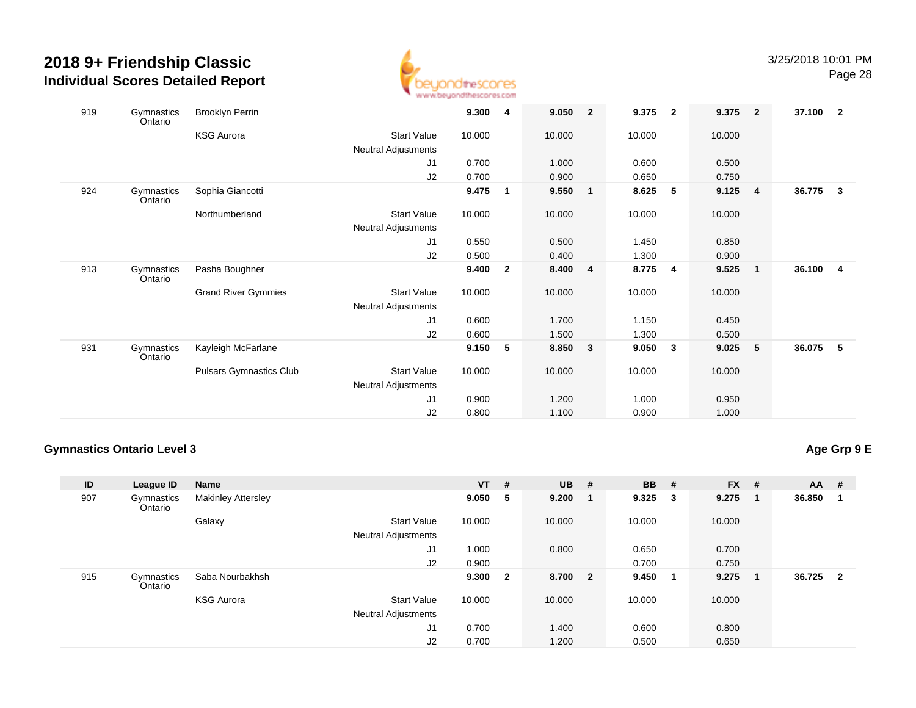

| 919 | Gymnastics<br>Ontario | <b>Brooklyn Perrin</b>     |                            | 9.300  | 4              | 9.050   | $\overline{2}$ | 9.375  | $\overline{\mathbf{2}}$ | 9.375  | $\overline{\mathbf{2}}$ | 37.100 | $\overline{2}$          |
|-----|-----------------------|----------------------------|----------------------------|--------|----------------|---------|----------------|--------|-------------------------|--------|-------------------------|--------|-------------------------|
|     |                       | <b>KSG Aurora</b>          | <b>Start Value</b>         | 10.000 |                | 10.000  |                | 10.000 |                         | 10.000 |                         |        |                         |
|     |                       |                            | <b>Neutral Adjustments</b> |        |                |         |                |        |                         |        |                         |        |                         |
|     |                       |                            | J1                         | 0.700  |                | 1.000   |                | 0.600  |                         | 0.500  |                         |        |                         |
|     |                       |                            | J2                         | 0.700  |                | 0.900   |                | 0.650  |                         | 0.750  |                         |        |                         |
| 924 | Gymnastics<br>Ontario | Sophia Giancotti           |                            | 9.475  | $\mathbf{1}$   | 9.550   | $\mathbf{1}$   | 8.625  | 5                       | 9.125  | $\overline{\mathbf{4}}$ | 36.775 | $\mathbf{3}$            |
|     |                       | Northumberland             | <b>Start Value</b>         | 10.000 |                | 10.000  |                | 10.000 |                         | 10.000 |                         |        |                         |
|     |                       |                            | Neutral Adjustments        |        |                |         |                |        |                         |        |                         |        |                         |
|     |                       |                            | J <sub>1</sub>             | 0.550  |                | 0.500   |                | 1.450  |                         | 0.850  |                         |        |                         |
|     |                       |                            | J2                         | 0.500  |                | 0.400   |                | 1.300  |                         | 0.900  |                         |        |                         |
| 913 | Gymnastics<br>Ontario | Pasha Boughner             |                            | 9.400  | $\overline{2}$ | 8.400 4 |                | 8.775  | $\overline{\mathbf{4}}$ | 9.525  | $\overline{\mathbf{1}}$ | 36.100 | $\overline{\mathbf{4}}$ |
|     |                       | <b>Grand River Gymmies</b> | <b>Start Value</b>         | 10.000 |                | 10.000  |                | 10.000 |                         | 10.000 |                         |        |                         |
|     |                       |                            | Neutral Adjustments        |        |                |         |                |        |                         |        |                         |        |                         |
|     |                       |                            | J1                         | 0.600  |                | 1.700   |                | 1.150  |                         | 0.450  |                         |        |                         |
|     |                       |                            | J2                         | 0.600  |                | 1.500   |                | 1.300  |                         | 0.500  |                         |        |                         |
| 931 | Gymnastics<br>Ontario | Kayleigh McFarlane         |                            | 9.150  | 5              | 8.850   | 3              | 9.050  | 3                       | 9.025  | - 5                     | 36.075 | 5                       |
|     |                       | Pulsars Gymnastics Club    | <b>Start Value</b>         | 10.000 |                | 10.000  |                | 10.000 |                         | 10.000 |                         |        |                         |
|     |                       |                            | Neutral Adjustments        |        |                |         |                |        |                         |        |                         |        |                         |
|     |                       |                            | J1                         | 0.900  |                | 1.200   |                | 1.000  |                         | 0.950  |                         |        |                         |
|     |                       |                            | J2                         | 0.800  |                | 1.100   |                | 0.900  |                         | 1.000  |                         |        |                         |

#### **Gymnastics Ontario Level 3**

## **Age Grp 9 E**

| ID  | League ID             | <b>Name</b>               |                                                  | $VT$ # |                | <b>UB</b> # |   | <b>BB</b> # |    | $FX$ # |                  | $AA$ # |                         |
|-----|-----------------------|---------------------------|--------------------------------------------------|--------|----------------|-------------|---|-------------|----|--------|------------------|--------|-------------------------|
| 907 | Gymnastics<br>Ontario | <b>Makinley Attersley</b> |                                                  | 9.050  | 5              | 9.200       | 1 | $9.325$ 3   |    | 9.275  | $\sqrt{1}$       | 36.850 | -1                      |
|     |                       | Galaxy                    | <b>Start Value</b><br><b>Neutral Adjustments</b> | 10.000 |                | 10.000      |   | 10.000      |    | 10.000 |                  |        |                         |
|     |                       |                           | J1                                               | 1.000  |                | 0.800       |   | 0.650       |    | 0.700  |                  |        |                         |
|     |                       |                           | J2                                               | 0.900  |                |             |   | 0.700       |    | 0.750  |                  |        |                         |
| 915 | Gymnastics<br>Ontario | Saba Nourbakhsh           |                                                  | 9.300  | $\overline{2}$ | 8.700 2     |   | 9.450       | -1 | 9.275  | $\blacksquare$ 1 | 36.725 | $\overline{\mathbf{2}}$ |
|     |                       | <b>KSG Aurora</b>         | <b>Start Value</b>                               | 10.000 |                | 10.000      |   | 10.000      |    | 10.000 |                  |        |                         |
|     |                       |                           | <b>Neutral Adjustments</b>                       |        |                |             |   |             |    |        |                  |        |                         |
|     |                       |                           | J <sub>1</sub>                                   | 0.700  |                | 1.400       |   | 0.600       |    | 0.800  |                  |        |                         |
|     |                       |                           | J2                                               | 0.700  |                | 1.200       |   | 0.500       |    | 0.650  |                  |        |                         |